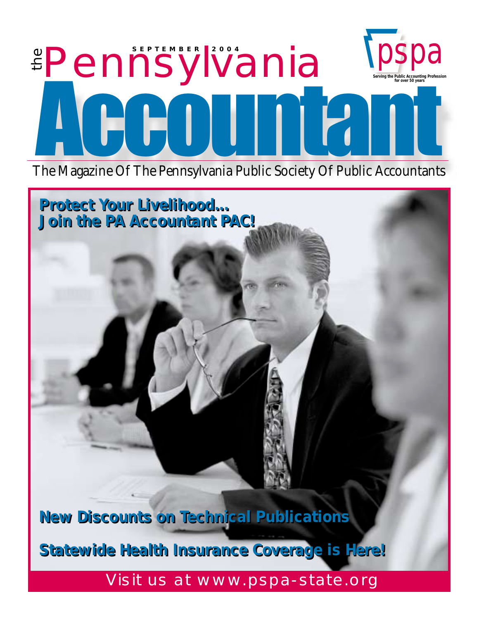## **<u>EPennsylvania</u>** pspa **Serving the Public Accounting Profession for over 50 years** Accountant

The Magazine Of The Pennsylvania Public Society Of Public Accountants

*Protect Your Livelihood... Protect Your Livelihood... Join the PA Accountant PAC! Join the PA Accountant PAC!*

*New Discounts on Technical Publications New Discounts on Technical Publications*

*Statewide Health Insurance Coverage is Here! Statewide Health Insurance Coverage is Here!*

Visit us at www.pspa-state.org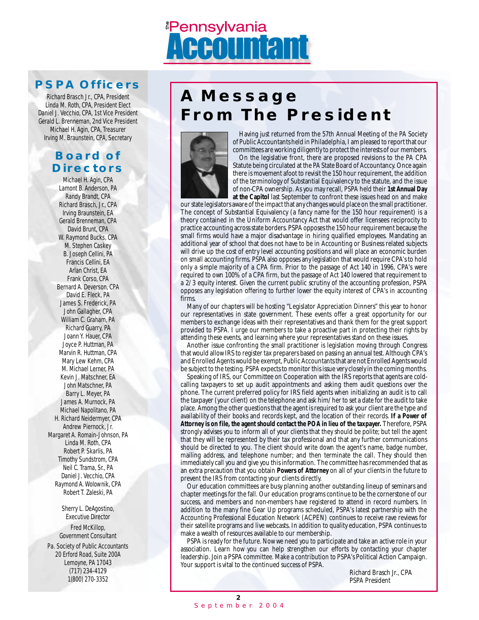## <u><sup>#</sup>Pennsylvania</u>

### **PSPA Officers**

Richard Brasch Jr., CPA, President Linda M. Roth, CPA, President Elect Daniel J. Vecchio, CPA, 1st Vice President Gerald L. Brenneman, 2nd Vice President Michael H. Agin, CPA, Treasurer Irving M. Braunstein, CPA, Secretary

### **Board of Directors**

Michael H. Agin, CPA Lamont B. Anderson, PA Randy Brandt, CPA Richard Brasch, Jr., CPA Irving Braunstein, EA Gerald Brenneman, CPA David Brunt, CPA W. Raymond Bucks, CPA M. Stephen Caskey B. Joseph Cellini, PA Francis Cellini, EA Arlan Christ, EA Frank Corso, CPA Bernard A. Deverson, CPA David E. Fleck, PA James S. Frederick, PA John Gallagher, CPA William C. Graham, PA Richard Guarry, PA Joann Y. Hauer, CPA Joyce P. Huttman, PA Marvin R. Huttman, CPA Mary Lew Kehm, CPA M. Michael Lerner, PA Kevin J. Matschner, EA John Matschner, PA Barry L. Meyer, PA James A. Murnock, PA Michael Napolitano, PA H. Richard Neidermyer, CPA Andrew Piernock, Jr. Margaret A. Romain-Johnson, PA Linda M. Roth, CPA Robert P. Skarlis, PA Timothy Sundstrom, CPA Neil C. Trama, Sr., PA Daniel J. Vecchio, CPA Raymond A. Wolownik, CPA Robert T. Zaleski, PA

Sherry L. DeAgostino, Executive Director Fred McKillop, Government Consultant Pa. Society of Public Accountants

20 Erford Road, Suite 200A Lemoyne, PA 17043 (717) 234-4129 1(800) 270-3352

## **A Message From The President**



Having just returned from the 57th Annual Meeting of the PA Society of Public Accountants held in Philadelphia, I am pleased to report that our committees are working diligently to protect the interests of our members.

On the legislative front, there are proposed revisions to the PA CPA Statute being circulated at the PA State Board of Accountancy. Once again there is movement afoot to revisit the 150 hour requirement, the addition of the terminology of Substantial Equivalency to the statute, and the issue of non-CPA ownership. As you may recall, PSPA held their **1st Annual Day at the Capitol** last September to confront these issues head on and make

our state legislators aware of the impact that any changes would place on the small practitioner. The concept of Substantial Equivalency (a fancy name for the 150 hour requirement) is a theory contained in the Uniform Accountancy Act that would offer licensees reciprocity to practice accounting across state borders. PSPA opposes the 150 hour requirement because the small firms would have a major disadvantage in hiring qualified employees. Mandating an additional year of school that does not have to be in Accounting or Business related subjects will drive up the cost of entry level accounting positions and will place an economic burden on small accounting firms. PSPA also opposes any legislation that would require CPA's to hold only a simple majority of a CPA firm. Prior to the passage of Act 140 in 1996, CPA's were required to own 100% of a CPA firm, but the passage of Act 140 lowered that requirement to a 2/3 equity interest. Given the current public scrutiny of the accounting profession, PSPA opposes any legislation offering to further lower the equity interest of CPA's in accounting firms.

Many of our chapters will be hosting "Legislator Appreciation Dinners" this year to honor our representatives in state government. These events offer a great opportunity for our members to exchange ideas with their representatives and thank them for the great support provided to PSPA. I urge our members to take a proactive part in protecting their rights by attending these events, and learning where your representatives stand on these issues.

Another issue confronting the small practitioner is legislation moving through Congress that would allow IRS to register tax preparers based on passing an annual test. Although CPA's and Enrolled Agents would be exempt, Public Accountants that are not Enrolled Agents would be subject to the testing. PSPA expects to monitor this issue very closely in the coming months.

Speaking of IRS, our Committee on Cooperation with the IRS reports that agents are coldcalling taxpayers to set up audit appointments and asking them audit questions over the phone. The current preferred policy for IRS field agents when initializing an audit is to call the taxpayer (your client) on the telephone and ask him/her to set a date for the audit to take place. Among the other questions that the agent is required to ask your client are the type and availability of their books and records kept, and the location of their records. **If a Power of Attorney is on file, the agent should contact the POA in lieu of the taxpayer.** Therefore, PSPA strongly advises you to inform all of your clients that they should be polite; but tell the agent that they will be represented by their tax professional and that any further communications should be directed to you. The client should write down the agent's name, badge number, mailing address, and telephone number; and then terminate the call. They should then immediately call you and give you this information. The committee has recommended that as an extra precaution that you obtain **Powers of Attorney** on all of your clients in the future to prevent the IRS from contacting your clients directly.

Our education committees are busy planning another outstanding lineup of seminars and chapter meetings for the fall. Our education programs continue to be the cornerstone of our success, and members and non-members have registered to attend in record numbers. In addition to the many fine Gear Up programs scheduled, PSPA's latest partnership with the Accounting Professional Education Network (ACPEN) continues to receive rave reviews for their satellite programs and live webcasts. In addition to quality education, PSPA continues to make a wealth of resources available to our membership.

PSPA is ready for the future. Now we need you to participate and take an active role in your association. Learn how you can help strengthen our efforts by contacting your chapter leadership. Join a PSPA committee. Make a contribution to PSPA's Political Action Campaign. Your support is vital to the continued success of PSPA.

Richard Brasch Jr., CPA PSPA President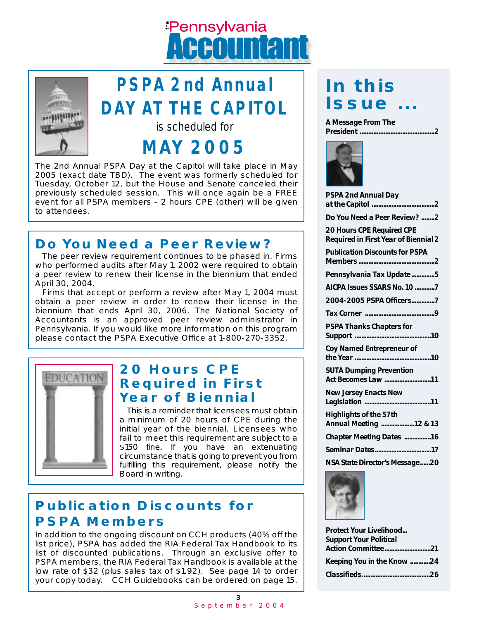## <u><sup>#</sup>Pennsylvania</u> **Anima**



## **PSPA 2nd Annual DAY AT THE CAPITOL**

is scheduled for

## **MAY 2005**

The 2nd Annual PSPA Day at the Capitol will take place in May 2005 (exact date TBD). The event was formerly scheduled for Tuesday, October 12, but the House and Senate canceled their previously scheduled session. This will once again be a FREE event for all PSPA members - 2 hours CPE (other) will be given to attendees.

## **Do You Need a Peer Review?**

The peer review requirement continues to be phased in. Firms who performed audits after May 1, 2002 were required to obtain a peer review to renew their license in the biennium that ended April 30, 2004.

Firms that accept or perform a review after May 1, 2004 must obtain a peer review in order to renew their license in the biennium that ends April 30, 2006. The National Society of Accountants is an approved peer review administrator in Pennsylvania. If you would like more information on this program please contact the PSPA Executive Office at 1-800-270-3352.



## **20 Hours CPE Required in First Year of Biennial**

This is a reminder that licensees must obtain a minimum of 20 hours of CPE during the initial year of the biennial. Licensees who fail to meet this requirement are subject to a \$150 fine. If you have an extenuating circumstance that is going to prevent you from fulfilling this requirement, please notify the Board in writing.

## **Publication Discounts for PSPA Members**

In addition to the ongoing discount on CCH products (40% off the list price), PSPA has added the RIA Federal Tax Handbook to its list of discounted publications. Through an exclusive offer to PSPA members, the RIA Federal Tax Handbook is available at the low rate of \$32 (plus sales tax of \$1.92). See page 14 to order your copy today. CCH Guidebooks can be ordered on page 15.

## *In this Issue ...*

*A Message From The President ............................................2*



| <b>PSPA 2nd Annual Day</b>                                               |
|--------------------------------------------------------------------------|
| Do You Need a Peer Review? 2                                             |
| <b>20 Hours CPE Required CPE</b><br>Required in First Year of Biennial 2 |
| <b>Publication Discounts for PSPA</b>                                    |
| Pennsylvania Tax Update5                                                 |
| AICPA Issues SSARS No. 10 7                                              |
| 2004-2005 PSPA Officers7                                                 |
|                                                                          |
| <b>PSPA Thanks Chapters for</b>                                          |
| Coy Named Entrepreneur of                                                |
| <b>SUTA Dumping Prevention</b><br>Act Becomes Law 11                     |
| <b>New Jersey Enacts New</b>                                             |
| <b>Highlights of the 57th</b><br>Annual Meeting  12 & 13                 |
| Chapter Meeting Dates  16                                                |
|                                                                          |
| NSA State Director's Message20                                           |
| <b>The Company's Company's Company's Company's</b>                       |



*Protect Your Livelihood... Support Your Political Action Committee............................21 Keeping You in the Know ............24 Classifieds........................................26*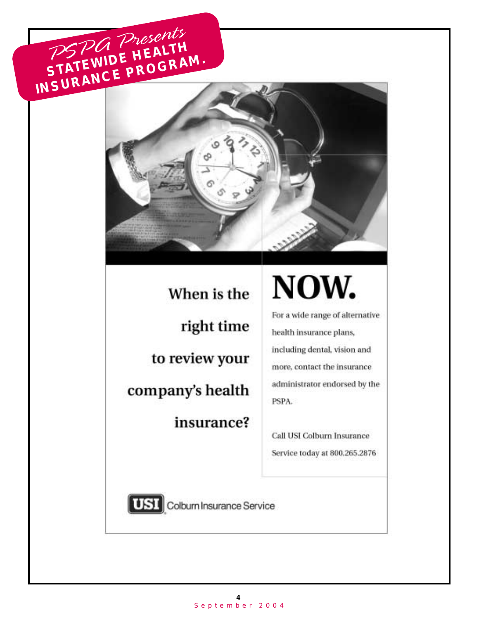## PSPA Presents **STATEWIDE HEALTH**<br>STATEWIDE PROGRA INSURANCE PROGRAM.



When is the right time to review your company's health insurance?

## NOW.

For a wide range of alternative health insurance plans, including dental, vision and more, contact the insurance administrator endorsed by the PSPA.

Call USI Colburn Insurance Service today at 800.265.2876



[UST] Colburn Insurance Service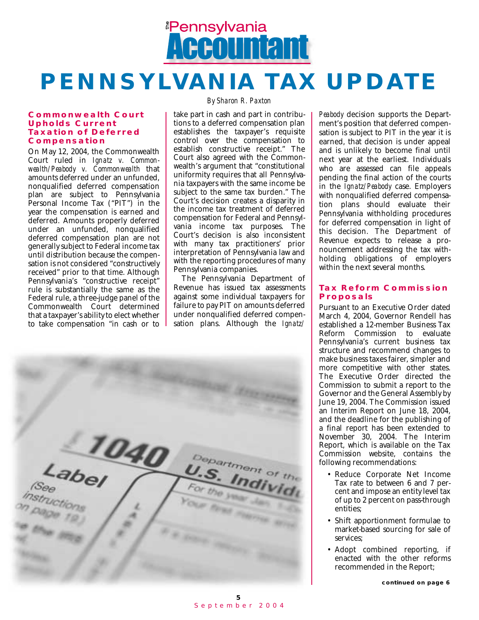

## *PENNSYLVANIA TAX UPDATE*

#### *Commonwealth Court Upholds Current Taxation of Deferred Compensation*

On May 12, 2004, the Commonwealth Court ruled in *Ignatz v. Commonwealth/Peabody v. Commonwealth* that amounts deferred under an unfunded, nonqualified deferred compensation plan are subject to Pennsylvania Personal Income Tax ("PIT") in the year the compensation is earned and deferred. Amounts properly deferred under an unfunded, nonqualified deferred compensation plan are not generally subject to Federal income tax until distribution because the compensation is not considered "constructively received" prior to that time. Although Pennsylvania's "constructive receipt" rule is substantially the same as the Federal rule, a three-judge panel of the Commonwealth Court determined that a taxpayer's ability to elect whether to take compensation "in cash or to

#### *By Sharon R. Paxton*

take part in cash and part in contributions to a deferred compensation plan establishes the taxpayer's requisite control over the compensation to establish constructive receipt." The Court also agreed with the Commonwealth's argument that "constitutional uniformity requires that all Pennsylvania taxpayers with the same income be subject to the same tax burden." The Court's decision creates a disparity in the income tax treatment of deferred compensation for Federal and Pennsylvania income tax purposes. The Court's decision is also inconsistent with many tax practitioners' prior interpretation of Pennsylvania law and with the reporting procedures of many Pennsylvania companies.

The Pennsylvania Department of Revenue has issued tax assessments against some individual taxpayers for failure to pay PIT on amounts deferred under nonqualified deferred compensation plans. Although the *Ignatz/*



*Peabody* decision supports the Department's position that deferred compensation is subject to PIT in the year it is earned, that decision is under appeal and is unlikely to become final until next year at the earliest. Individuals who are assessed can file appeals pending the final action of the courts in the *Ignatz/Peabody* case. Employers with nonqualified deferred compensation plans should evaluate their Pennsylvania withholding procedures for deferred compensation in light of this decision. The Department of Revenue expects to release a pronouncement addressing the tax withholding obligations of employers within the next several months.

#### *Tax Reform Commission Proposals*

Pursuant to an Executive Order dated March 4, 2004, Governor Rendell has established a 12-member Business Tax Reform Commission to evaluate Pennsylvania's current business tax structure and recommend changes to make business taxes fairer, simpler and more competitive with other states. The Executive Order directed the Commission to submit a report to the Governor and the General Assembly by June 19, 2004. The Commission issued an Interim Report on June 18, 2004, and the deadline for the publishing of a final report has been extended to November 30, 2004. The Interim Report, which is available on the Tax Commission website, contains the following recommendations:

- Reduce Corporate Net Income Tax rate to between 6 and 7 percent and impose an entity level tax of up to 2 percent on pass-through entities;
- Shift apportionment formulae to market-based sourcing for sale of services;
- Adopt combined reporting, if enacted with the other reforms recommended in the Report;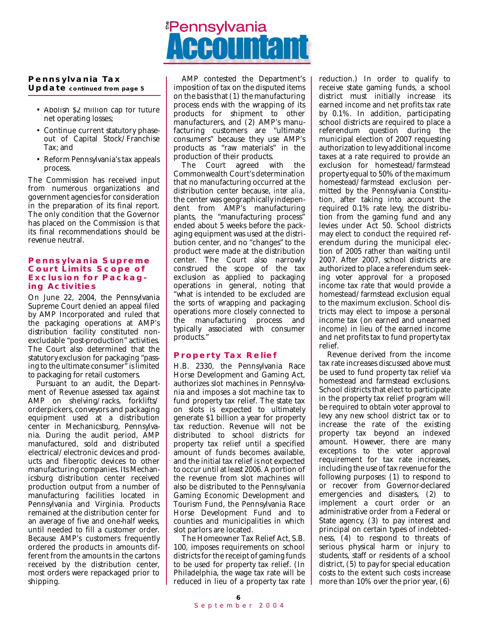### **Pennsylvania Tax**

**Update continued from page 5**

- Abolish \$2 million cap for future net operating losses;
- Continue current statutory phaseout of Capital Stock/Franchise Tax; and
- Reform Pennsylvania's tax appeals process.

The Commission has received input from numerous organizations and government agencies for consideration in the preparation of its final report. The only condition that the Governor has placed on the Commission is that its final recommendations should be revenue neutral.

#### *Pennsylvania Supreme Court Limits Scope of Exclusion for Packaging Activities*

On June 22, 2004, the Pennsylvania Supreme Court denied an appeal filed by AMP Incorporated and ruled that the packaging operations at AMP's distribution facility constituted nonexcludable "post-production" activities. The Court also determined that the statutory exclusion for packaging "passing to the ultimate consumer" is limited to packaging for retail customers.

Pursuant to an audit, the Department of Revenue assessed tax against AMP on shelving/racks, forklifts/ orderpickers, conveyors and packaging equipment used at a distribution center in Mechanicsburg, Pennsylvania. During the audit period, AMP manufactured, sold and distributed electrical/electronic devices and products and fiberoptic devices to other manufacturing companies. Its Mechanicsburg distribution center received production output from a number of manufacturing facilities located in Pennsylvania and Virginia. Products remained at the distribution center for an average of five and one-half weeks, until needed to fill a customer order. Because AMP's customers frequently ordered the products in amounts different from the amounts in the cartons received by the distribution center, most orders were repackaged prior to shipping.

## <u><sup>#</sup>Pennsylvania</u>

AMP contested the Department's imposition of tax on the disputed items on the basis that (1) the manufacturing process ends with the wrapping of its products for shipment to other manufacturers, and (2) AMP's manufacturing customers are "ultimate consumers" because they use AMP's products as "raw materials" in the production of their products.<br>The Court agreed w

agreed with the Commonwealth Court's determination that no manufacturing occurred at the distribution center because, *inter alia*, the center was geographically independent from AMP's manufacturing plants, the "manufacturing process" ended about 5 weeks before the packaging equipment was used at the distribution center, and no "changes" to the product were made at the distribution center. The Court also narrowly construed the scope of the tax exclusion as applied to packaging operations in general, noting that "what is intended to be excluded are the sorts of wrapping and packaging operations more closely connected to the manufacturing process and typically associated with consumer products."

#### *Property Tax Relief*

H.B. 2330, the Pennsylvania Race Horse Development and Gaming Act, authorizes slot machines in Pennsylvania and imposes a slot machine tax to fund property tax relief. The state tax on slots is expected to ultimately generate \$1 billion a year for property tax reduction. Revenue will not be distributed to school districts for property tax relief until a specified amount of funds becomes available, and the initial tax relief is not expected to occur until at least 2006. A portion of the revenue from slot machines will also be distributed to the Pennsylvania Gaming Economic Development and Tourism Fund, the Pennsylvania Race Horse Development Fund and to counties and municipalities in which slot parlors are located.

The Homeowner Tax Relief Act, S.B. 100, imposes requirements on school districts for the receipt of gaming funds to be used for property tax relief. (In Philadelphia, the wage tax rate will be reduced in lieu of a property tax rate reduction.) In order to qualify to receive state gaming funds, a school district must initially increase its earned income and net profits tax rate by 0.1%. In addition, participating school districts are required to place a referendum question during the municipal election of 2007 requesting authorization to levy additional income taxes at a rate required to provide an exclusion for homestead/farmstead property equal to 50% of the maximum homestead/farmstead exclusion permitted by the Pennsylvania Constitution, after taking into account the required 0.1% rate levy, the distribution from the gaming fund and any levies under Act 50. School districts may elect to conduct the required referendum during the municipal election of 2005 rather than waiting until 2007. After 2007, school districts are authorized to place a referendum seeking voter approval for a proposed income tax rate that would provide a homestead/farmstead exclusion equal to the maximum exclusion. School districts may elect to impose a personal income tax (on earned and unearned income) in lieu of the earned income and net profits tax to fund property tax relief.

Revenue derived from the income tax rate increases discussed above must be used to fund property tax relief via homestead and farmstead exclusions. School districts that elect to participate in the property tax relief program will be required to obtain voter approval to levy any new school district tax or to increase the rate of the existing property tax beyond an indexed amount. However, there are many exceptions to the voter approval requirement for tax rate increases, including the use of tax revenue for the following purposes: (1) to respond to or recover from Governor-declared emergencies and disasters, (2) to implement a court order or an administrative order from a Federal or State agency, (3) to pay interest and principal on certain types of indebtedness, (4) to respond to threats of serious physical harm or injury to students, staff or residents of a school district, (5) to pay for special education costs to the extent such costs increase more than 10% over the prior year, (6)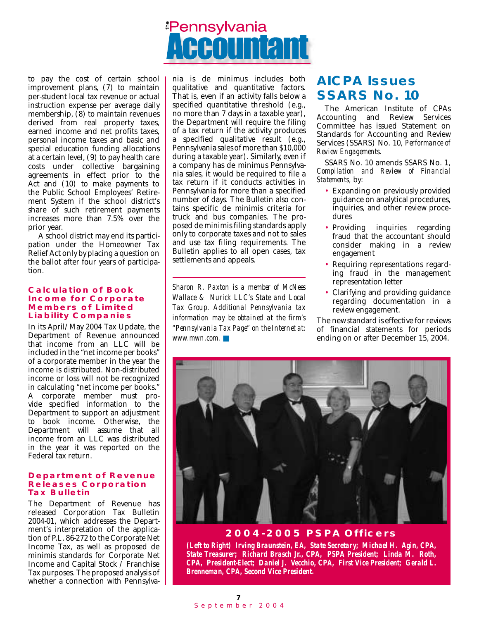## *<u>Pennsylvania</u>*

to pay the cost of certain school improvement plans, (7) to maintain per-student local tax revenue or actual instruction expense per average daily membership, (8) to maintain revenues derived from real property taxes, earned income and net profits taxes, personal income taxes and basic and special education funding allocations at a certain level, (9) to pay health care costs under collective bargaining agreements in effect prior to the Act and (10) to make payments to the Public School Employees' Retirement System if the school district's share of such retirement payments increases more than 7.5% over the prior year.

A school district may end its participation under the Homeowner Tax Relief Act only by placing a question on the ballot after four years of participation.

#### *Calculation of Book Income for Corporate Members of Limited Liability Companies*

In its April/May 2004 Tax Update, the Department of Revenue announced that income from an LLC will be included in the "net income per books" of a corporate member in the year the income is distributed. Non-distributed income or loss will not be recognized in calculating "net income per books." A corporate member must provide specified information to the Department to support an adjustment to book income. Otherwise, the Department will assume that all income from an LLC was distributed in the year it was reported on the Federal tax return.

#### *Department of Revenue Releases Corporation Tax Bulletin*

The Department of Revenue has released Corporation Tax Bulletin 2004-01, which addresses the Department's interpretation of the application of P.L. 86-272 to the Corporate Net Income Tax, as well as proposed de minimis standards for Corporate Net Income and Capital Stock / Franchise Tax purposes. The proposed analysis of whether a connection with Pennsylvania is de minimus includes both qualitative and quantitative factors. That is, even if an activity falls below a specified quantitative threshold (e.g., no more than 7 days in a taxable year), the Department will require the filing of a tax return if the activity produces a specified qualitative result (e.g., Pennsylvania sales of more than \$10,000 during a taxable year). Similarly, even if a company has de minimus Pennsylvania sales, it would be required to file a tax return if it conducts activities in Pennsylvania for more than a specified number of days. The Bulletin also contains specific de minimis criteria for truck and bus companies. The proposed de minimis filing standards apply only to corporate taxes and not to sales and use tax filing requirements. The Bulletin applies to all open cases, tax settlements and appeals.

*Sharon R. Paxton is a member of McNees Wallace & Nurick LLC's State and Local Tax Group. Additional Pennsylvania tax information may be obtained at the firm's "Pennsylvania Tax Page" on the Internet at: www.mwn.com.* ■

## *AICPA Issues SSARS No. 10*

The American Institute of CPAs Accounting and Review Services Committee has issued Statement on Standards for Accounting and Review Services (SSARS) No. 10, *Performance of Review Engagements.* 

SSARS No. 10 amends SSARS No. 1, *Compilation and Review of Financial Statements,* by:

- Expanding on previously provided guidance on analytical procedures, inquiries, and other review procedures
- Providing inquiries regarding fraud that the accountant should consider making in a review engagement
- Requiring representations regarding fraud in the management representation letter
- Clarifying and providing guidance regarding documentation in a review engagement.

The new standard is effective for reviews of financial statements for periods ending on or after December 15, 2004.



*2004-2005 PSPA Officers*

*(Left to Right) Irving Braunstein, EA, State Secretary; Michael H. Agin, CPA, State Treasurer; Richard Brasch Jr., CPA, PSPA President; Linda M. Roth, CPA, President-Elect; Daniel J. Vecchio, CPA, First Vice President; Gerald L. Brenneman, CPA, Second Vice President.*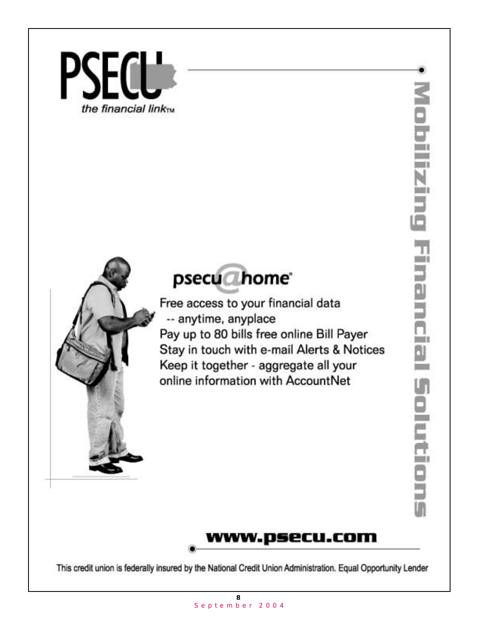



Free access to your financial data -- anytime, anyplace Pay up to 80 bills free online Bill Payer Stay in touch with e-mail Alerts & Notices Keep it together - aggregate all your online information with AccountNet



ď

m۱



This credit union is federally insured by the National Credit Union Administration. Equal Opportunity Lender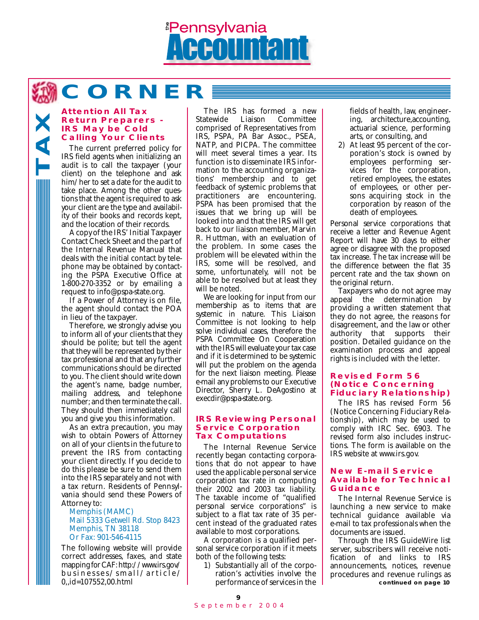## *<u>Pennsylvania</u>*

**CORNER**

#### *Attention All Tax Return Preparers - IRS May be Cold Calling Your Clients*

**TAX**

The current preferred policy for IRS field agents when initializing an audit is to call the taxpayer (your client) on the telephone and ask him/her to set a date for the audit to take place. Among the other questions that the agent is required to ask your client are the type and availability of their books and records kept, and the location of their records.

A copy of the IRS' Initial Taxpayer Contact Check Sheet and the part of the Internal Revenue Manual that deals with the initial contact by telephone may be obtained by contacting the PSPA Executive Office at 1-800-270-3352 or by emailing a request to info@pspa-state.org.

If a Power of Attorney is on file, the agent should contact the POA in lieu of the taxpayer.

Therefore, we strongly advise you to inform all of your clients that they should be polite; but tell the agent that they will be represented by their tax professional and that any further communications should be directed to you. The client should write down the agent's name, badge number, mailing address, and telephone number; and then terminate the call. They should then immediately call you and give you this information.

As an extra precaution, you may wish to obtain Powers of Attorney on all of your clients in the future to prevent the IRS from contacting your client directly. If you decide to do this please be sure to send them into the IRS separately and not with a tax return. Residents of Pennsylvania should send these Powers of Attorney to:

#### Memphis (MAMC) Mail 5333 Getwell Rd. Stop 8423 Memphis, TN 38118 Or Fax: 901-546-4115

The following website will provide correct addresses, faxes, and state mapping for CAF: http://www.irs.gov/ businesses/small/article/ 0,,id=107552,00.html

The IRS has formed a new<br>Statewide Liaison Committee **Committee** comprised of Representatives from IRS, PSPA, PA Bar Assoc., PSEA, NATP, and PICPA. The committee will meet several times a year. Its function is to disseminate IRS information to the accounting organizations' membership and to get feedback of systemic problems that practitioners are encountering. PSPA has been promised that the issues that we bring up will be looked into and that the IRS will get back to our liaison member, Marvin R. Huttman, with an evaluation of the problem. In some cases the problem will be elevated within the IRS, some will be resolved, and some, unfortunately, will not be able to be resolved but at least they will be noted.

We are looking for input from our membership as to items that are systemic in nature. This Liaison Committee is not looking to help solve individual cases, therefore the PSPA Committee On Cooperation with the IRS will evaluate your tax case and if it is determined to be systemic will put the problem on the agenda for the next liaison meeting. Please e-mail any problems to our Executive Director, Sherry L. DeAgostino at execdir@pspa-state.org.

#### *IRS Reviewing Personal Service Corporation Tax Computations*

The Internal Revenue Service recently began contacting corporations that do not appear to have used the applicable personal service corporation tax rate in computing their 2002 and 2003 tax liability. The taxable income of "qualified personal service corporations" is subject to a flat tax rate of 35 percent instead of the graduated rates available to most corporations.

A corporation is a qualified personal service corporation if it meets both of the following tests:

1) Substantially all of the corporation's activities involve the performance of services in the fields of health, law, engineering, architecture,accounting, actuarial science, performing arts, or consulting, and

2) At least 95 percent of the corporation's stock is owned by employees performing services for the corporation, retired employees, the estates of employees, or other persons acquiring stock in the corporation by reason of the death of employees.

Personal service corporations that receive a letter and Revenue Agent Report will have 30 days to either agree or disagree with the proposed tax increase. The tax increase will be the difference between the flat 35 percent rate and the tax shown on the original return.

Taxpayers who do not agree may appeal the determination by providing a written statement that they do not agree, the reasons for disagreement, and the law or other authority that supports their position. Detailed guidance on the examination process and appeal rights is included with the letter.

#### *Revised Form 56 (Notice Concerning Fiduciary Relationship)*

The IRS has revised Form 56 (Notice Concerning Fiduciary Relationship), which may be used to comply with IRC Sec. 6903. The revised form also includes instructions. The form is available on the IRS website at www.irs.gov.

#### *New E-mail Service Available for Technical Guidance*

The Internal Revenue Service is launching a new service to make technical guidance available via e-mail to tax professionals when the documents are issued.

Through the IRS GuideWire list server, subscribers will receive notification of and links to IRS announcements, notices, revenue procedures and revenue rulings as **continued on page 10**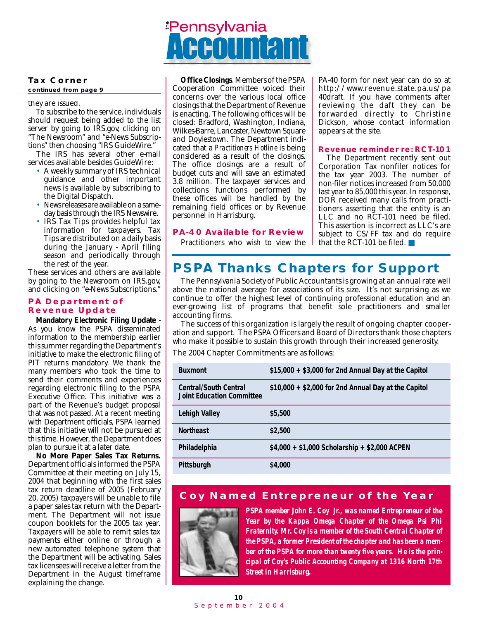

#### **Tax Corner**

**continued from page 9**

they are issued.

To subscribe to the service, individuals should request being added to the list server by going to IRS.gov, clicking on "The Newsroom" and "e-News Subscriptions" then choosing "IRS GuideWire."

The IRS has several other e-mail services available besides GuideWire:

- A weekly summary of IRS technical guidance and other important news is available by subscribing to the Digital Dispatch.
- News releases are available on a sameday basis through the IRS Newswire.
- IRS Tax Tips provides helpful tax information for taxpayers. Tax Tips are distributed on a daily basis during the January - April filing season and periodically through the rest of the year.

These services and others are available by going to the Newsroom on IRS.gov, and clicking on "e-News Subscriptions."

#### *PA Department of Revenue Update*

**Mandatory Electronic Filing Update** - As you know the PSPA disseminated information to the membership earlier this summer regarding the Department's initiative to make the electronic filing of PIT returns mandatory. We thank the many members who took the time to send their comments and experiences regarding electronic filing to the PSPA Executive Office. This initiative was a part of the Revenue's budget proposal that was not passed. At a recent meeting with Department officials, PSPA learned that this initiative will not be pursued at this time. However, the Department does plan to pursue it at a later date.

**No More Paper Sales Tax Returns.** Department officials informed the PSPA Committee at their meeting on July 15, 2004 that beginning with the first sales tax return deadline of 2005 (February 20, 2005) taxpayers will be unable to file a paper sales tax return with the Department. The Department will not issue coupon booklets for the 2005 tax year. Taxpayers will be able to remit sales tax payments either online or through a new automated telephone system that the Department will be activating. Sales tax licensees will receive a letter from the Department in the August timeframe explaining the change.

**Office Closings**. Members of the PSPA Cooperation Committee voiced their concerns over the various local office closings that the Department of Revenue is enacting. The following offices will be closed: Bradford, Washington, Indiana, Wilkes-Barre, Lancaster, Newtown Square and Doylestown. The Department indicated that a *Practitioners Hotline* is being considered as a result of the closings. The office closings are a result of budget cuts and will save an estimated 3.8 million. The taxpayer services and collections functions performed by these offices will be handled by the remaining field offices or by Revenue personnel in Harrisburg.

#### *PA-40 Available for Review*

Practitioners who wish to view the

PA-40 form for next year can do so at http://www.revenue.state.pa.us/pa 40draft. If you have comments after reviewing the daft they can be forwarded directly to Christine Dickson, whose contact information appears at the site.

#### *Revenue reminder re: RCT-101*

The Department recently sent out Corporation Tax nonfiler notices for the tax year 2003. The number of non-filer notices increased from 50,000 last year to 85,000 this year. In response, DOR received many calls from practitioners asserting that the entity is an LLC and no RCT-101 need be filed. This assertion is incorrect as LLC's are subject to CS/FF tax and do require that the RCT-101 be filed. ■

## *PSPA Thanks Chapters for Support*

The Pennsylvania Society of Public Accountants is growing at an annual rate well above the national average for associations of its size. It's not surprising as we continue to offer the highest level of continuing professional education and an ever-growing list of programs that benefit sole practitioners and smaller accounting firms.

The success of this organization is largely the result of ongoing chapter cooperation and support. The PSPA Officers and Board of Directors thank those chapters who make it possible to sustain this growth through their increased generosity.

The 2004 Chapter Commitments are as follows:

| <b>Buxmont</b>                                                   | $$15,000 + $3,000$ for 2nd Annual Day at the Capitol |
|------------------------------------------------------------------|------------------------------------------------------|
| <b>Central/South Central</b><br><b>Joint Education Committee</b> | $$10,000 + $2,000$ for 2nd Annual Day at the Capitol |
| Lehigh Valley                                                    | \$5,500                                              |
| <b>Northeast</b>                                                 | \$2,500                                              |
| Philadelphia                                                     | $$4,000 + $1,000$ Scholarship + \$2,000 ACPEN        |
| Pittsburgh                                                       | \$4,000                                              |

#### *Coy Named Entrepreneur of the Year*



*PSPA member John E. Coy Jr., was named Entrepreneur of the Year by the Kappa Omega Chapter of the Omega Psi Phi Fraternity. Mr. Coy is a member of the South Central Chapter of the PSPA, a former President of the chapter and has been a member of the PSPA for more than twenty five years. He is the principal of Coy's Public Accounting Company at 1316 North 17th Street in Harrisburg.*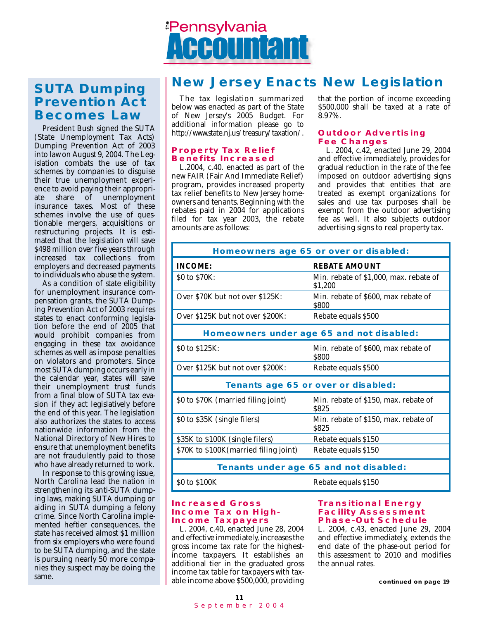

## *Prevention Act Becomes Law*

President Bush signed the SUTA (State Unemployment Tax Acts) Dumping Prevention Act of 2003 into law on August 9, 2004. The Legislation combats the use of tax schemes by companies to disguise their true unemployment experience to avoid paying their appropri-<br>ate share of unemployment unemployment insurance taxes. Most of these schemes involve the use of questionable mergers, acquisitions or restructuring projects. It is estimated that the legislation will save \$498 million over five years through increased tax collections from employers and decreased payments to individuals who abuse the system.

As a condition of state eligibility for unemployment insurance compensation grants, the SUTA Dumping Prevention Act of 2003 requires states to enact conforming legislation before the end of 2005 that would prohibit companies from engaging in these tax avoidance schemes as well as impose penalties on violators and promoters. Since most SUTA dumping occurs early in the calendar year, states will save their unemployment trust funds from a final blow of SUTA tax evasion if they act legislatively before the end of this year. The legislation also authorizes the states to access nationwide information from the National Directory of New Hires to ensure that unemployment benefits are not fraudulently paid to those who have already returned to work.

In response to this growing issue, North Carolina lead the nation in strengthening its anti-SUTA dumping laws, making SUTA dumping or aiding in SUTA dumping a felony crime. Since North Carolina implemented heftier consequences, the state has received almost \$1 million from six employers who were found to be SUTA dumping, and the state is pursuing nearly 50 more companies they suspect may be doing the same.

## *New Jersey Enacts New Legislation SUTA Dumping*

The tax legislation summarized below was enacted as part of the State of New Jersey's 2005 Budget. For additional information please go to http://www.state.nj.us/treasury/taxation/.

#### *Property Tax Relief Benefits Increased*

L.2004, c.40. enacted as part of the new FAIR (Fair And Immediate Relief) program, provides increased property tax relief benefits to New Jersey homeowners and tenants. Beginning with the rebates paid in 2004 for applications filed for tax year 2003, the rebate amounts are as follows:

that the portion of income exceeding \$500,000 shall be taxed at a rate of 8.97%.

#### *Outdoor Advertising Fee Changes*

L. 2004, c.42, enacted June 29, 2004 and effective immediately, provides for gradual reduction in the rate of the fee imposed on outdoor advertising signs and provides that entities that are treated as exempt organizations for sales and use tax purposes shall be exempt from the outdoor advertising fee as well. It also subjects outdoor advertising signs to real property tax.

| Homeowners age 65 or over or disabled:                         |                                                     |  |  |  |
|----------------------------------------------------------------|-----------------------------------------------------|--|--|--|
| <b>REBATE AMOUNT</b><br><b>INCOME:</b>                         |                                                     |  |  |  |
| \$0 to \$70K:                                                  | Min. rebate of \$1,000, max. rebate of<br>\$1,200   |  |  |  |
| Over \$70K but not over \$125K:                                | Min. rebate of \$600, max rebate of<br><b>S800</b>  |  |  |  |
| Over \$125K but not over \$200K:                               | Rebate equals \$500                                 |  |  |  |
| Homeowners under age 65 and not disabled:                      |                                                     |  |  |  |
| \$0 to \$125K:<br>Min. rebate of \$600, max rebate of<br>\$800 |                                                     |  |  |  |
| Over \$125K but not over \$200K:                               | Rebate equals \$500                                 |  |  |  |
| Tenants age 65 or over or disabled:                            |                                                     |  |  |  |
| \$0 to \$70K (married filing joint)                            | Min. rebate of \$150, max. rebate of<br><b>S825</b> |  |  |  |
| \$0 to \$35K (single filers)                                   | Min. rebate of \$150, max. rebate of<br><b>S825</b> |  |  |  |
| \$35K to \$100K (single filers)                                | Rebate equals \$150                                 |  |  |  |
| \$70K to \$100K (married filing joint)                         | Rebate equals \$150                                 |  |  |  |
|                                                                | Tenants under age 65 and not disabled:              |  |  |  |
| \$0 to \$100K<br>Rebate equals \$150                           |                                                     |  |  |  |

#### *Increased Gross Income Tax on High-Income Taxpayers*

L. 2004, c.40, enacted June 28, 2004 and effective immediately, increases the gross income tax rate for the highestincome taxpayers. It establishes an additional tier in the graduated gross income tax table for taxpayers with taxable income above \$500,000, providing

#### *Transitional Energy Facility Assessment Phase-Out Schedule*

L. 2004, c.43, enacted June 29, 2004 and effective immediately, extends the end date of the phase-out period for this assessment to 2010 and modifies the annual rates.

**continued on page 19**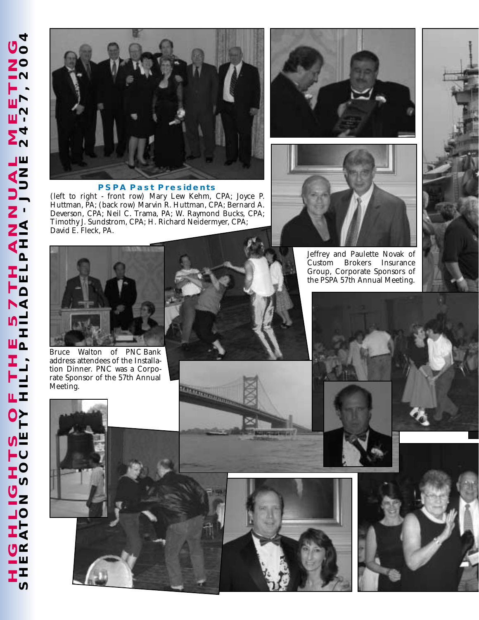

#### *PSPA Past Presidents*

(left to right - front row) Mary Lew Kehm, CPA; Joyce P. Huttman, PA; (back row) Marvin R. Huttman, CPA; Bernard A. Deverson, CPA; Neil C. Trama, PA; W. Raymond Bucks, CPA; Timothy J. Sundstrom, CPA; H. Richard Neidermyer, CPA; David E. Fleck, PA.





Jeffrey and Paulette Novak of Custom Brokers Group, Corporate Sponsors of the PSPA 57th Annual Meeting.



Bruce Walton of PNC Bank address attendees of the Installation Dinner. PNC was a Corporate Sponsor of the 57th Annual Meeting.



Territorian and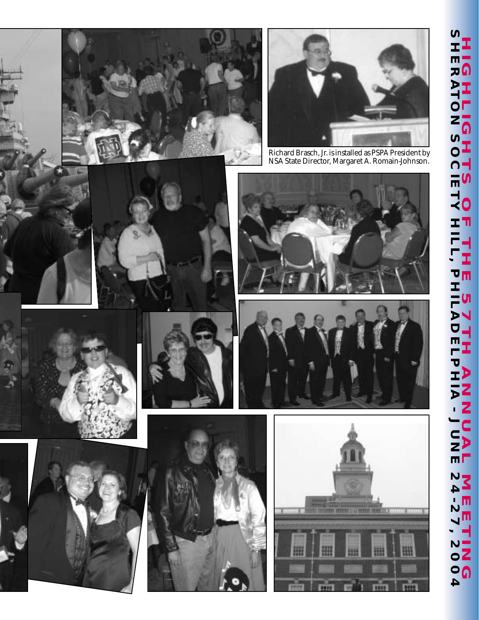## **SHERATON SOCIETY HILL, PHILADELPHIA - JUNE 24-27, 2004**  $\boldsymbol{\eta}$ **HIGHLIGHTS OF THE 57TH ANNUAL MEETING HIGHLIGHTS** <0 Ť T ٣ 住 (J Í U **HIA-LEAR**  $\frac{2}{11}$ **NIEE**<br>24  $\blacktriangle$ ï **ING4**















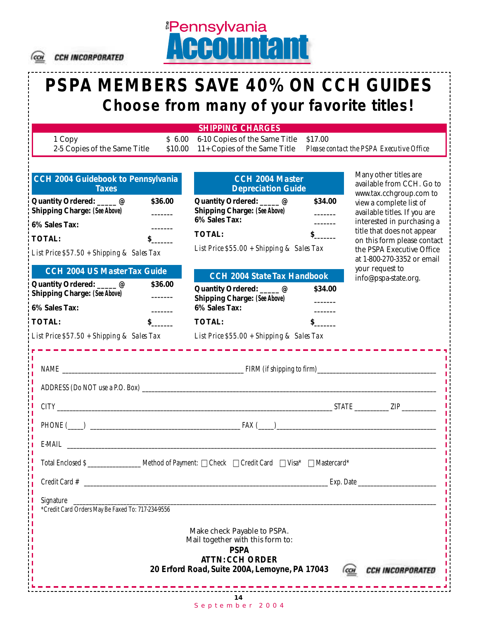

#### CCH INCORPORATED

## **PSPA MEMBERS SAVE 40% ON CCH GUIDES Choose from many of your favorite titles!**

*<u><b>Pennsylvania</u>* 

*SHIPPING CHARGES*

1 Copy \$ 6.00 6-10 Copies of the Same Title \$17.00

2-5 Copies of the Same Title \$10.00 11+ Copies of the Same Title *Please contact the PSPA Executive Office*

| CCH 2004 Guidebook to Pennsylvania<br><b>Taxes</b>                                |              | CCH 2004 Master<br><b>Depreciation Guide</b>                                                                                                              |              | Many other titles are<br>available from CCH. Go to<br>www.tax.cchgroup.com to          |
|-----------------------------------------------------------------------------------|--------------|-----------------------------------------------------------------------------------------------------------------------------------------------------------|--------------|----------------------------------------------------------------------------------------|
| Quantity Ordered: _____ @<br><b>Shipping Charge: (See Above)</b><br>6% Sales Tax: | \$36.00      | Quantity Ordered: _____@<br><b>Shipping Charge: (See Above)</b><br>6% Sales Tax:                                                                          | \$34.00      | view a complete list of<br>available titles. If you are<br>interested in purchasing a  |
| <b>TOTAL:</b>                                                                     | $\mathbf{s}$ | <b>TOTAL:</b>                                                                                                                                             | $\mathbf{s}$ | title that does not appear                                                             |
| List Price $$57.50 + Shipping & Sales Tax$                                        |              | List Price \$55.00 + Shipping & Sales Tax                                                                                                                 |              | on this form please contact<br>the PSPA Executive Office<br>at 1-800-270-3352 or email |
| <b>CCH 2004 US Master Tax Guide</b>                                               |              | <b>CCH 2004 State Tax Handbook</b>                                                                                                                        |              | your request to<br>info@pspa-state.org.                                                |
| Quantity Ordered: _____ @<br><b>Shipping Charge: (See Above)</b>                  | \$36.00      | Quantity Ordered: _____ @<br><b>Shipping Charge: (See Above)</b>                                                                                          | \$34.00      |                                                                                        |
| 6% Sales Tax:                                                                     |              | 6% Sales Tax:                                                                                                                                             |              |                                                                                        |
| <b>TOTAL:</b>                                                                     | $s$ and $s$  | <b>TOTAL:</b>                                                                                                                                             | $\mathbf{s}$ |                                                                                        |
|                                                                                   |              | List Price \$57.50 + Shipping & Sales Tax List Price \$55.00 + Shipping & Sales Tax                                                                       |              |                                                                                        |
|                                                                                   |              |                                                                                                                                                           |              |                                                                                        |
|                                                                                   |              |                                                                                                                                                           |              |                                                                                        |
|                                                                                   |              |                                                                                                                                                           |              |                                                                                        |
|                                                                                   |              | PHONE $(\_\_\_)$                                                                                                                                          |              |                                                                                        |
|                                                                                   |              |                                                                                                                                                           |              |                                                                                        |
|                                                                                   |              | Total Enclosed S ______________________ Method of Payment: □ Check □ Credit Card □ Visa* □ Mastercard*                                                    |              |                                                                                        |
|                                                                                   |              |                                                                                                                                                           |              |                                                                                        |
| Signature<br>*Credit Card Orders May Be Faxed To: 717-234-9556                    |              |                                                                                                                                                           |              |                                                                                        |
|                                                                                   |              | Make check Payable to PSPA.<br>Mail together with this form to:<br><b>PSPA</b><br><b>ATTN: CCH ORDER</b><br>20 Erford Road, Suite 200A, Lemoyne, PA 17043 |              | <b>CCH INCORPORATED</b>                                                                |
|                                                                                   |              | 14<br>September 2004                                                                                                                                      |              |                                                                                        |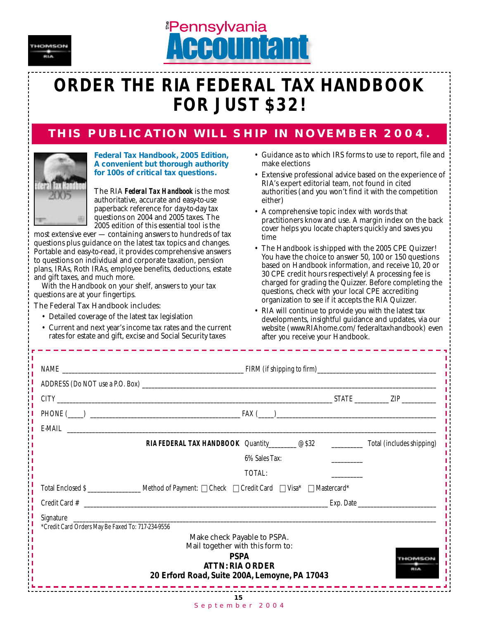



## **ORDER THE RIA FEDERAL TAX HANDBOOK FOR JUST \$32!**

### *THIS PUBLICATION WILL SHIP IN NOVEMBER 2004.*



*Federal Tax Handbook, 2005 Edition, A convenient but thorough authority for 100s of critical tax questions.*

The RIA *Federal Tax Handbook* is the most authoritative, accurate and easy-to-use paperback reference for day-to-day tax questions on 2004 and 2005 taxes. The 2005 edition of this essential tool is the

most extensive ever — containing answers to hundreds of tax questions plus guidance on the latest tax topics and changes. Portable and easy-to-read, it provides comprehensive answers to questions on individual and corporate taxation, pension plans, IRAs, Roth IRAs, employee benefits, deductions, estate and gift taxes, and much more.

With the Handbook on your shelf, answers to your tax questions are at your fingertips.

The Federal Tax Handbook includes:

- Detailed coverage of the latest tax legislation
- Current and next year's income tax rates and the current rates for estate and gift, excise and Social Security taxes
- Guidance as to which IRS forms to use to report, file and make elections
- Extensive professional advice based on the experience of RIA's expert editorial team, not found in cited authorities (and you won't find it with the competition either)
- A comprehensive topic index with words that practitioners know and use. A margin index on the back cover helps you locate chapters quickly and saves you time
- The Handbook is shipped with the 2005 CPE Quizzer! You have the choice to answer 50, 100 or 150 questions based on Handbook information, and receive 10, 20 or 30 CPE credit hours respectively! A processing fee is charged for grading the Quizzer. Before completing the questions, check with your local CPE accrediting organization to see if it accepts the RIA Quizzer.
- RIA will continue to provide you with the latest tax developments, insightful guidance and updates, via our website (www.RIAhome.com/federaltaxhandbook) even after you receive your Handbook.

|                                                                | PHONE $(\_\_\_)$                                                                                        |            |
|----------------------------------------------------------------|---------------------------------------------------------------------------------------------------------|------------|
|                                                                |                                                                                                         |            |
|                                                                | <b>RIA FEDERAL TAX HANDBOOK</b> Quantity @ \$32 ____________ Total (includes shipping)                  |            |
|                                                                | 6% Sales Tax:                                                                                           |            |
|                                                                | TOTAL:                                                                                                  |            |
|                                                                | Total Enclosed S _______________________ Method of Payment: □ Check □ Credit Card □ Visa* □ Mastercard* |            |
|                                                                |                                                                                                         |            |
| Signature<br>*Credit Card Orders May Be Faxed To: 717-234-9556 |                                                                                                         |            |
|                                                                | Make check Payable to PSPA.<br>Mail together with this form to:                                         |            |
|                                                                | <b>PSPA</b><br><b>ATTN: RIA ORDER</b><br>20 Erford Road, Suite 200A, Lemoyne, PA 17043                  | <b>RLA</b> |
|                                                                | 15<br>September 2004                                                                                    |            |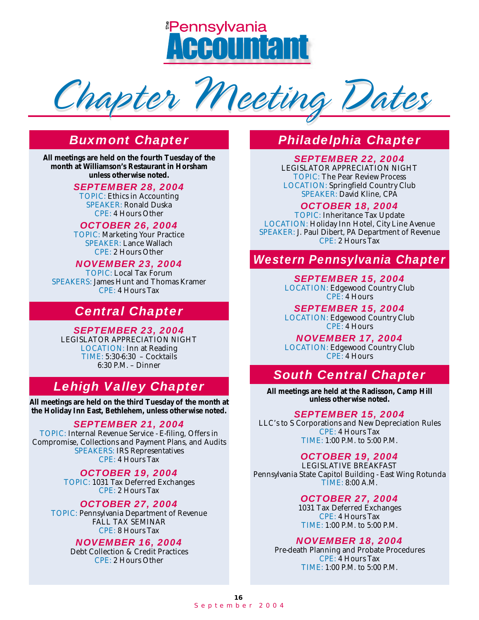<u> <sup>e</sup>Pennsvlvania</u>



## *Buxmont Chapter*

**All meetings are held on the fourth Tuesday of the month at Williamson's Restaurant in Horsham unless otherwise noted.**

*SEPTEMBER 28, 2004*

TOPIC: Ethics in Accounting SPEAKER: Ronald Duska CPE: 4 Hours Other

*OCTOBER 26, 2004* TOPIC: Marketing Your Practice SPEAKER: Lance Wallach CPE: 2 Hours Other

*NOVEMBER 23, 2004* TOPIC: Local Tax Forum SPEAKERS: James Hunt and Thomas Kramer CPE: 4 Hours Tax

### *Central Chapter*

*SEPTEMBER 23, 2004*

LEGISLATOR APPRECIATION NIGHT LOCATION: Inn at Reading TIME: 5:30-6:30 – Cocktails 6:30 P.M. – Dinner

### *Lehigh Valley Chapter*

**All meetings are held on the third Tuesday of the month at the Holiday Inn East, Bethlehem, unless otherwise noted.**

#### *SEPTEMBER 21, 2004*

TOPIC: Internal Revenue Service - E-filing, Offers in Compromise, Collections and Payment Plans, and Audits SPEAKERS: IRS Representatives CPE: 4 Hours Tax

> *OCTOBER 19, 2004* TOPIC: 1031 Tax Deferred Exchanges CPE: 2 Hours Tax

*OCTOBER 27, 2004* TOPIC: Pennsylvania Department of Revenue FALL TAX SEMINAR CPE: 8 Hours Tax

#### *NOVEMBER 16, 2004*

Debt Collection & Credit Practices CPE: 2 Hours Other

## *Philadelphia Chapter*

*SEPTEMBER 22, 2004*

LEGISLATOR APPRECIATION NIGHT TOPIC: The Pear Review Process LOCATION: Springfield Country Club SPEAKER: David Kline, CPA

*OCTOBER 18, 2004*

TOPIC: Inheritance Tax Update LOCATION: Holiday Inn Hotel, City Line Avenue SPEAKER: J. Paul Dibert, PA Department of Revenue CPE: 2 Hours Tax

#### *Western Pennsylvania Chapter*

*SEPTEMBER 15, 2004* LOCATION: Edgewood Country Club CPE: 4 Hours

*SEPTEMBER 15, 2004* LOCATION: Edgewood Country Club CPE: 4 Hours

*NOVEMBER 17, 2004* LOCATION: Edgewood Country Club CPE: 4 Hours

### *South Central Chapter*

**All meetings are held at the Radisson, Camp Hill unless otherwise noted.**

#### *SEPTEMBER 15, 2004*

LLC's to S Corporations and New Depreciation Rules CPE: 4 Hours Tax TIME: 1:00 P.M. to 5:00 P.M.

#### *OCTOBER 19, 2004*

LEGISLATIVE BREAKFAST Pennsylvania State Capitol Building - East Wing Rotunda TIME: 8:00 A.M.

#### *OCTOBER 27, 2004*

1031 Tax Deferred Exchanges CPE: 4 Hours Tax TIME: 1:00 P.M. to 5:00 P.M.

#### *NOVEMBER 18, 2004*

Pre-death Planning and Probate Procedures CPE: 4 Hours Tax TIME: 1:00 P.M. to 5:00 P.M.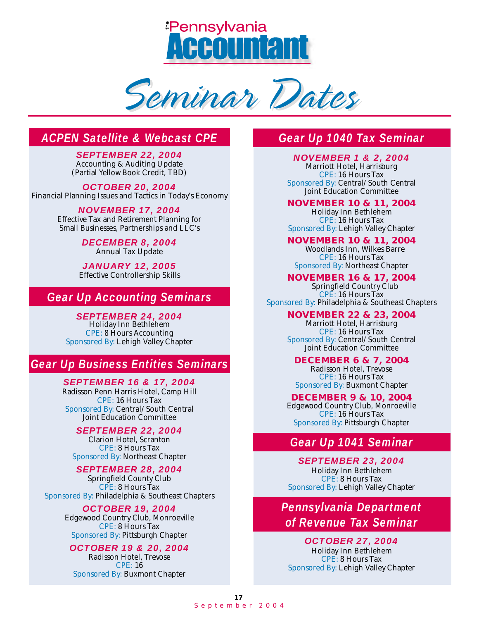<u> <sup>e</sup>Pennsvlvania</u>

Seminar Dates

## *ACPEN Satellite & Webcast CPE*

*SEPTEMBER 22, 2004* Accounting & Auditing Update (Partial Yellow Book Credit, TBD)

*OCTOBER 20, 2004* Financial Planning Issues and Tactics in Today's Economy

> *NOVEMBER 17, 2004* Effective Tax and Retirement Planning for Small Businesses, Partnerships and LLC's

> > *DECEMBER 8, 2004* Annual Tax Update

*JANUARY 12, 2005* Effective Controllership Skills

### *Gear Up Accounting Seminars*

*SEPTEMBER 24, 2004* Holiday Inn Bethlehem CPE: 8 Hours Accounting Sponsored By: Lehigh Valley Chapter

## *Gear Up Business Entities Seminars*

*SEPTEMBER 16 & 17, 2004* Radisson Penn Harris Hotel, Camp Hill CPE: 16 Hours Tax Sponsored By: Central/South Central Joint Education Committee

*SEPTEMBER 22, 2004* Clarion Hotel, Scranton CPE: 8 Hours Tax Sponsored By: Northeast Chapter

#### *SEPTEMBER 28, 2004*

Springfield County Club CPE: 8 Hours Tax Sponsored By: Philadelphia & Southeast Chapters

#### *OCTOBER 19, 2004*

Edgewood Country Club, Monroeville CPE: 8 Hours Tax Sponsored By: Pittsburgh Chapter

#### *OCTOBER 19 & 20, 2004*

Radisson Hotel, Trevose CPE: 16 Sponsored By: Buxmont Chapter

### *Gear Up 1040 Tax Seminar*

*NOVEMBER 1 & 2, 2004* Marriott Hotel, Harrisburg CPE: 16 Hours Tax Sponsored By: Central/South Central Joint Education Committee

**NOVEMBER 10 & 11, 2004** Holiday Inn Bethlehem CPE: 16 Hours Tax Sponsored By: Lehigh Valley Chapter

**NOVEMBER 10 & 11, 2004** Woodlands Inn, Wilkes Barre CPE: 16 Hours Tax Sponsored By: Northeast Chapter

**NOVEMBER 16 & 17, 2004** Springfield Country Club CPE: 16 Hours Tax Sponsored By: Philadelphia & Southeast Chapters

> **NOVEMBER 22 & 23, 2004** Marriott Hotel, Harrisburg CPE: 16 Hours Tax Sponsored By: Central/South Central Joint Education Committee

#### **DECEMBER 6 & 7, 2004**

Radisson Hotel, Trevose CPE: 16 Hours Tax Sponsored By: Buxmont Chapter

**DECEMBER 9 & 10, 2004**

Edgewood Country Club, Monroeville CPE: 16 Hours Tax Sponsored By: Pittsburgh Chapter

### *Gear Up 1041 Seminar*

*SEPTEMBER 23, 2004* Holiday Inn Bethlehem CPE: 8 Hours Tax Sponsored By: Lehigh Valley Chapter

*Pennsylvania Department of Revenue Tax Seminar*

#### *OCTOBER 27, 2004*

Holiday Inn Bethlehem CPE: 8 Hours Tax Sponsored By: Lehigh Valley Chapter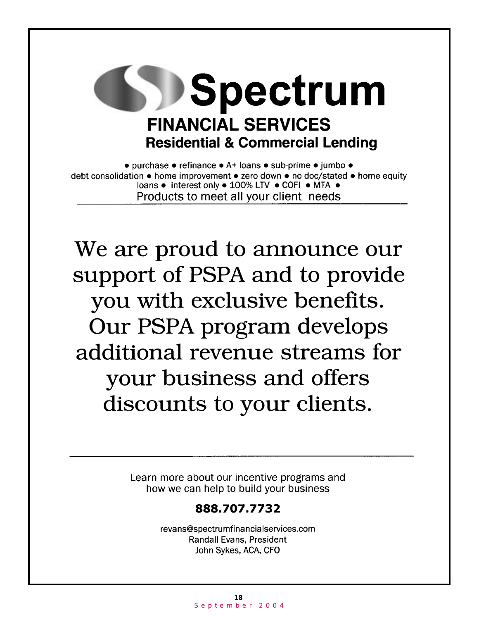

• purchase • refinance • A+ loans • sub-prime • jumbo • debt consolidation • home improvement • zero down • no doc/stated • home equity loans · interest only • 100% LTV · COFI · MTA · Products to meet all your client needs

We are proud to announce our support of PSPA and to provide you with exclusive benefits. Our PSPA program develops additional revenue streams for your business and offers discounts to your clients.

> Learn more about our incentive programs and how we can help to build your business

## 888.707.7732

revans@spectrumfinancialservices.com **Randall Evans, President** John Sykes, ACA, CFO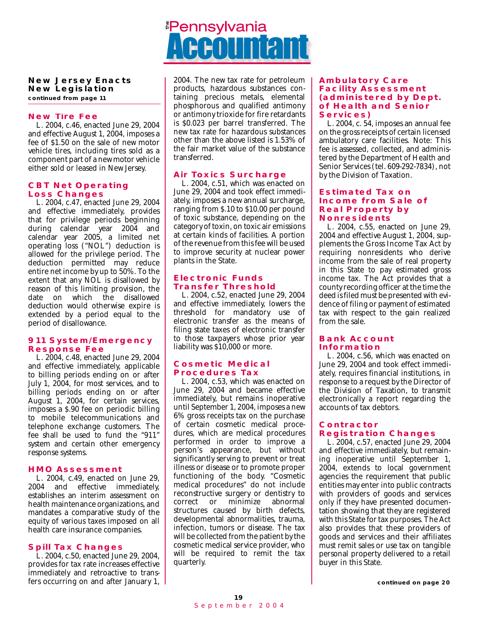#### **New Jersey Enacts New Legislation**

**continued from page 11**

#### *New Tire Fee*

L. 2004, c.46, enacted June 29, 2004 and effective August 1, 2004, imposes a fee of \$1.50 on the sale of new motor vehicle tires, including tires sold as a component part of a new motor vehicle either sold or leased in New Jersey.

#### *CBT Net Operating Loss Changes*

L. 2004, c.47, enacted June 29, 2004 and effective immediately, provides that for privilege periods beginning during calendar year 2004 and calendar year 2005, a limited net operating loss ("NOL") deduction is allowed for the privilege period. The deduction permitted may reduce entire net income by up to 50%. To the extent that any NOL is disallowed by reason of this limiting provision, the date on which the disallowed deduction would otherwise expire is extended by a period equal to the period of disallowance.

#### *911 System/Emergency Response Fee*

L. 2004, c.48, enacted June 29, 2004 and effective immediately, applicable to billing periods ending on or after July 1, 2004, for most services, and to billing periods ending on or after August 1, 2004, for certain services, imposes a \$.90 fee on periodic billing to mobile telecommunications and telephone exchange customers. The fee shall be used to fund the "911" system and certain other emergency response systems.

#### *HMO Assessment*

L. 2004, c.49, enacted on June 29, 2004 and effective immediately, establishes an interim assessment on health maintenance organizations, and mandates a comparative study of the equity of various taxes imposed on all health care insurance companies.

#### *Spill Tax Changes*

L. 2004, c.50, enacted June 29, 2004, provides for tax rate increases effective immediately and retroactive to transfers occurring on and after January 1,

## <u><sup>ª</sup>Pennsylvania</u>

2004. The new tax rate for petroleum products, hazardous substances containing precious metals, elemental phosphorous and qualified antimony or antimony trioxide for fire retardants is \$0.023 per barrel transferred. The new tax rate for hazardous substances other than the above listed is 1.53% of the fair market value of the substance transferred.

#### *Air Toxics Surcharge*

L. 2004, c.51, which was enacted on June 29, 2004 and took effect immediately, imposes a new annual surcharge, ranging from \$.10 to \$10.00 per pound of toxic substance, depending on the category of toxin, on toxic air emissions at certain kinds of facilities. A portion of the revenue from this fee will be used to improve security at nuclear power plants in the State.

#### *Electronic Funds Transfer Threshold*

L. 2004, c.52, enacted June 29, 2004 and effective immediately, lowers the threshold for mandatory use of electronic transfer as the means of filing state taxes of electronic transfer to those taxpayers whose prior year liability was \$10,000 or more.

#### *Cosmetic Medical Procedures Tax*

L. 2004, c.53, which was enacted on June 29, 2004 and became effective immediately, but remains inoperative until September 1, 2004, imposes a new 6% gross receipts tax on the purchase of certain cosmetic medical procedures, which are medical procedures performed in order to improve a person's appearance, but without significantly serving to prevent or treat illness or disease or to promote proper functioning of the body. "Cosmetic medical procedures" do not include reconstructive surgery or dentistry to correct or minimize abnormal structures caused by birth defects, developmental abnormalities, trauma, infection, tumors or disease. The tax will be collected from the patient by the cosmetic medical service provider, who will be required to remit the tax quarterly.

#### *Ambulatory Care Facility Assessment (administered by Dept. of Health and Senior Services)*

L. 2004, c. 54, imposes an annual fee on the gross receipts of certain licensed ambulatory care facilities. Note: This fee is assessed, collected, and administered by the Department of Health and Senior Services (tel. 609-292-7834), not by the Division of Taxation.

#### *Estimated Tax on Income from Sale of Real Property by Nonresidents*

L. 2004, c.55, enacted on June 29, 2004 and effective August 1, 2004, supplements the Gross Income Tax Act by requiring nonresidents who derive income from the sale of real property in this State to pay estimated gross income tax. The Act provides that a county recording officer at the time the deed is filed must be presented with evidence of filing or payment of estimated tax with respect to the gain realized from the sale.

#### *Bank Account Information*

L. 2004, c.56, which was enacted on June 29, 2004 and took effect immediately, requires financial institutions, in response to a request by the Director of the Division of Taxation, to transmit electronically a report regarding the accounts of tax debtors.

#### *Contractor Registration Changes*

L. 2004, c.57, enacted June 29, 2004 and effective immediately, but remaining inoperative until September 1, 2004, extends to local government agencies the requirement that public entities may enter into public contracts with providers of goods and services only if they have presented documentation showing that they are registered with this State for tax purposes. The Act also provides that these providers of goods and services and their affiliates must remit sales or use tax on tangible personal property delivered to a retail buyer in this State.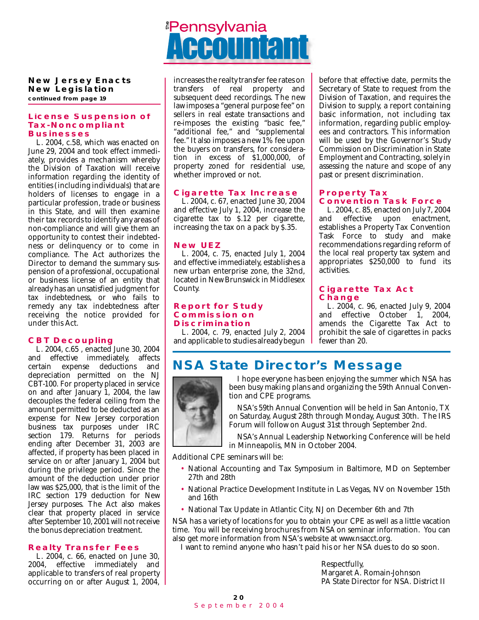<u><sup>#</sup>Pennsylvania</u>

#### **New Jersey Enacts New Legislation continued from page 19**

#### *License Suspension of Tax-Noncompliant Businesses*

L. 2004, c.58, which was enacted on June 29, 2004 and took effect immediately, provides a mechanism whereby the Division of Taxation will receive information regarding the identity of entities (including individuals) that are holders of licenses to engage in a particular profession, trade or business in this State, and will then examine their tax records to identify any areas of non-compliance and will give them an opportunity to contest their indebtedness or delinquency or to come in compliance. The Act authorizes the Director to demand the summary suspension of a professional, occupational or business license of an entity that already has an unsatisfied judgment for tax indebtedness, or who fails to remedy any tax indebtedness after receiving the notice provided for under this Act.

#### *CBT Decoupling*

L. 2004, c.65 , enacted June 30, 2004 and effective immediately, affects certain expense deductions and depreciation permitted on the NJ CBT-100. For property placed in service on and after January 1, 2004, the law decouples the federal ceiling from the amount permitted to be deducted as an expense for New Jersey corporation business tax purposes under IRC section 179. Returns for periods ending after December 31, 2003 are affected, if property has been placed in service on or after January 1, 2004 but during the privilege period. Since the amount of the deduction under prior law was \$25,000, that is the limit of the IRC section 179 deduction for New Jersey purposes. The Act also makes clear that property placed in service after September 10, 2001 will not receive the bonus depreciation treatment.

#### *Realty Transfer Fees*

L. 2004, c. 66, enacted on June 30, 2004, effective immediately and applicable to transfers of real property occurring on or after August 1, 2004, increases the realty transfer fee rates on transfers of real property and subsequent deed recordings. The new law imposes a "general purpose fee" on sellers in real estate transactions and re-imposes the existing "basic fee," "additional fee," and "supplemental fee." It also imposes a new 1% fee upon the buyers on transfers, for consideration in excess of \$1,000,000, of property zoned for residential use, whether improved or not.

#### *Cigarette Tax Increase*

L. 2004, c. 67, enacted June 30, 2004 and effective July 1, 2004, increase the cigarette tax to \$.12 per cigarette, increasing the tax on a pack by \$.35.

#### *New UEZ*

L. 2004, c. 75, enacted July 1, 2004 and effective immediately, establishes a new urban enterprise zone, the 32nd, located in New Brunswick in Middlesex County.

#### *Report for Study Commission on Discrimination*

L. 2004, c. 79, enacted July 2, 2004 and applicable to studies already begun before that effective date, permits the Secretary of State to request from the Division of Taxation, and requires the Division to supply, a report containing basic information, not including tax information, regarding public employees and contractors. This information will be used by the Governor's Study Commission on Discrimination in State Employment and Contracting, solely in assessing the nature and scope of any past or present discrimination.

#### *Property Tax Convention Task Force*

L. 2004, c. 85, enacted on July 7, 2004<br>and effective upon enactment, enactment, establishes a Property Tax Convention Task Force to study and make recommendations regarding reform of the local real property tax system and appropriates \$250,000 to fund its activities.

#### *Cigarette Tax Act Change*

L. 2004, c. 96, enacted July 9, 2004 and effective October 1, 2004, amends the Cigarette Tax Act to prohibit the sale of cigarettes in packs fewer than 20.

## *NSA State Director's Message*



I hope everyone has been enjoying the summer which NSA has been busy making plans and organizing the 59th Annual Convention and CPE programs.

NSA's 59th Annual Convention will be held in San Antonio, TX on Saturday, August 28th through Monday, August 30th. The IRS Forum will follow on August 31st through September 2nd.

NSA's Annual Leadership Networking Conference will be held in Minneapolis, MN in October 2004.

Additional CPE seminars will be:

- National Accounting and Tax Symposium in Baltimore, MD on September 27th and 28th
- National Practice Development Institute in Las Vegas, NV on November 15th and 16th
- National Tax Update in Atlantic City, NJ on December 6th and 7th

NSA has a variety of locations for you to obtain your CPE as well as a little vacation time. You will be receiving brochures from NSA on seminar information. You can also get more information from NSA's website at www.nsacct.org.

I want to remind anyone who hasn't paid his or her NSA dues to do so soon.

Respectfully, Margaret A. Romain-Johnson PA State Director for NSA. District II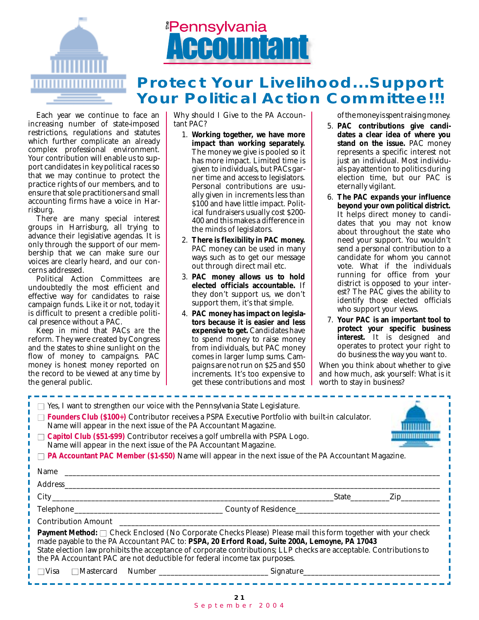

## <u><sup>#</sup>Pennsylvania</u>

## *Protect Your Livelihood...Support Your Political Action Committee!!!*

Each year we continue to face an increasing number of state-imposed restrictions, regulations and statutes which further complicate an already complex professional environment. Your contribution will enable us to support candidates in key political races so that we may continue to protect the practice rights of our members, and to ensure that sole practitioners and small accounting firms have a voice in Harrisburg.

There are many special interest groups in Harrisburg, all trying to advance their legislative agendas. It is only through the support of our membership that we can make sure our voices are clearly heard, and our concerns addressed.

Political Action Committees are undoubtedly the most efficient and effective way for candidates to raise campaign funds. Like it or not, today it is difficult to present a credible political presence without a PAC.

Keep in mind that PACs *are* the reform. They were created by Congress and the states to shine sunlight on the flow of money to campaigns. PAC money is honest money reported on the record to be viewed at any time by the general public.

Why should I Give to the PA Accountant PAC?

- 1. **Working together, we have more impact than working separately.** The money we give is pooled so it has more impact. Limited time is given to individuals, but PACs garner time and access to legislators. Personal contributions are usually given in increments less than \$100 and have little impact. Political fundraisers usually cost \$200- 400 and this makes a difference in the minds of legislators.
- 2. **There is flexibility in PAC money.** PAC money can be used in many ways such as to get our message out through direct mail etc.
- 3. **PAC money allows us to hold elected officials accountable.** If they don't support us, we don't support them, it's that simple.
- 4. **PAC money has impact on legislators because it is easier and less expensive to get.** Candidates have to spend money to raise money from individuals, but PAC money comes in larger lump sums. Campaigns are not run on \$25 and \$50 increments. It's too expensive to get these contributions and most

of the money is spent raising money.

- 5. **PAC contributions give candidates a clear idea of where you stand on the issue.** PAC money represents a specific interest not just an individual. Most individuals pay attention to politics during election time, but our PAC is eternally vigilant.
- 6. **The PAC expands your influence beyond your own political district.** It helps direct money to candidates that you may not know about throughout the state who need your support. You wouldn't send a personal contribution to a candidate for whom you cannot vote. What if the individuals running for office from your district is opposed to your interest? The PAC gives the ability to identify those elected officials who support your views.
- 7. **Your PAC is an important tool to protect your specific business interest.** It is designed and operates to protect your right to do business the way you want to.

When you think about whether to give and how much, ask yourself: What is it worth to stay in business?

| $\Box$ Yes, I want to strengthen our voice with the Pennsylvania State Legislature.<br>Founders Club (\$100+) Contributor receives a PSPA Executive Portfolio with built-in calculator.<br>Name will appear in the next issue of the PA Accountant Magazine.<br>$\Box$ Capitol Club (\$51-\$99) Contributor receives a golf umbrella with PSPA Logo.<br>Name will appear in the next issue of the PA Accountant Magazine.<br>$\Box$ <b>PA Accountant PAC Member (\$1-\$50)</b> Name will appear in the next issue of the PA Accountant Magazine. |  |
|--------------------------------------------------------------------------------------------------------------------------------------------------------------------------------------------------------------------------------------------------------------------------------------------------------------------------------------------------------------------------------------------------------------------------------------------------------------------------------------------------------------------------------------------------|--|
|                                                                                                                                                                                                                                                                                                                                                                                                                                                                                                                                                  |  |
|                                                                                                                                                                                                                                                                                                                                                                                                                                                                                                                                                  |  |
|                                                                                                                                                                                                                                                                                                                                                                                                                                                                                                                                                  |  |
|                                                                                                                                                                                                                                                                                                                                                                                                                                                                                                                                                  |  |
|                                                                                                                                                                                                                                                                                                                                                                                                                                                                                                                                                  |  |
| Payment Method: □ Check Enclosed (No Corporate Checks Please) Please mail this form together with your check<br>made payable to the PA Accountant PAC to: PSPA, 20 Erford Road, Suite 200A, Lemoyne, PA 17043<br>State election law prohibits the acceptance of corporate contributions; LLP checks are acceptable. Contributions to<br>the PA Accountant PAC are not deductible for federal income tax purposes.                                                                                                                                |  |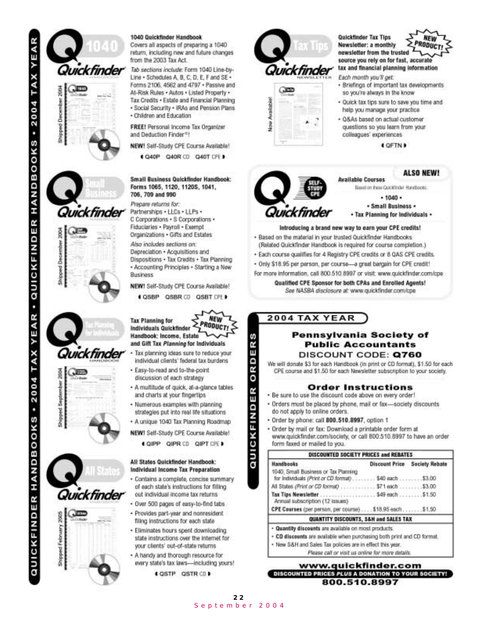

#### 1040 Quickfinder Handbook

Covers all aspects of preparing a 1040 return, including new and future changes from the 2003 Tax Act.

Tab sections include: Form 1040 Line-by-Line - Schedules A. B. C. D. E. F and SE -Forms 2106, 4562 and 4797 . Passive and At-Risk Rules . Autos . Listed Property . Tax Credits . Estate and Financial Planning · Social Security · IRAs and Pension Plans

· Children and Education

FREE! Personal Income Tax Organizer and Deduction Finder®!

NEW! Self-Study CPE Course Available!

C40P Q40R CD Q40T CPE D

Small Business Quickfinder Handbook: Forms 1065, 1120, 1120S, 1041, 706, 709 and 990

Prepare returns for: Partnerships . LLCs . LLPs . C Corporations + S Corporations + Fiduciaries - Payroll - Exempt

Organizations . Gifts and Estates Also includes sections on:

Depreciation · Acquisitions and Dispositions . Tax Credits . Tax Planning + Accounting Principles + Starting a New **Business** 

NEW! Self-Study CPE Course Available!

(QSBP QSBR CD QSBT CPE)



- · Tax planning ideas sure to reduce your individual clients' federal tax burdens
- · Easy-to-read and to-the-point discussion of each strategy
- · A multitude of quick, at-a-glance tables and charts at your fingertips
- · Numerous examples with planning strategies put into real life situations
- A unique 1040 Tax Planning Roadmap
- NEW! Self-Study CPE Course Available!
	- CHPP QIPR CD QIPT CPE I

#### All States Quickfinder Handbook: Individual Income Tax Preparation

- · Contains a complete, concise summary of each state's instructions for filling out individual income tax returns
- · Over 500 pages of easy-to-find tabs
- · Provides part-year and nonresident filing instructions for each state
- · Eliminates hours spent downloading state instructions over the internet for your clients' out-of-state returns
- . A handy and thorough resource for every state's tax laws-including yours!
	- **( QSTP QSTR CD)**



luickfindei

Quickfinder Tax Tips **NEW** PRODUCT Newsletter: a monthly newsletter from the trusted source you rely on for fast, accurate tax and financial planning information

- Each month you'll get:
	- · Briefings of important tax developments so you're always in the know
	- · Quick tax tips sure to save you time and help you manage your practice.
	- · Q&As based on actual customer questions so you learn from your colleagues' experiences

**4 OFTN B** 

#### **ALSO NEW!**

Basid on these Quickfinder Handbooks:

 $-1040 -$ · Small Business · . Tax Planning for Individuals -

#### Introducing a brand new way to earn your CPE credits!

**Available Courses** 

- + Based on the material in your trusted Quickfinder Handbooks. (Related Quickfinder Handbook is required for course completion.)
- · Each course qualifies for 4 Registry CPE credits or 8 QAS CPE credits.
- · Only \$18.95 per person, per course-a great bargain for CPE credit!
- For more information, call 800.510.8997 or visit: www.quickfinder.com/cpe.

Qualified CPE Sponsor for both CPAs and Enrolled Agents! See NASBA disclosure at: www.quickfinder.com/cpe

#### 2004 TAX YEAR

s Œ

ORD

ER

CKFINDI

ā

#### Pennsylvania Society of **Public Accountants** DISCOUNT CODE: Q760

We will donate \$3 for each Handbook (in print or CD format), \$1.50 for each CPE course and \$1.50 for each Newsletter subscription to your society.

#### **Order Instructions**

- . Be sure to use the discount code above on every order!
- · Orders must be placed by phone, mail or fax-society discounts do not apply to online orders.
- · Order by phone: call 800.510.8997, option 1
- . Order by mail or fax: Download a printable order form at www.quickfinder.com/society, or call 800.510.8997 to have an order form faxed or mailed to you.

| Handbooks                                                                                      | <b>Discount Price Society Rebate</b> |
|------------------------------------------------------------------------------------------------|--------------------------------------|
| 1040, Small Business or Tax Planning<br>for Individuals (Print or CD format) \$40 each  \$3.00 |                                      |
| All States (Print or CD format)  \$71 each  \$3.00                                             |                                      |
| Annual subscription (12 Issues)                                                                |                                      |
| CPE Courses (per person, per course) \$18.95 each \$1.50                                       |                                      |
| QUANTITY DISCOUNTS, S&H and SALES TAX                                                          |                                      |

- 
- New S&H and Sales Tax policies are in effect this year.
	- Please call or visit us online for more details.

#### www.quickfinder.com DISCOUNTED PRICES PLUS A DONATION TO YOUR SOCIETY! 800.510.8997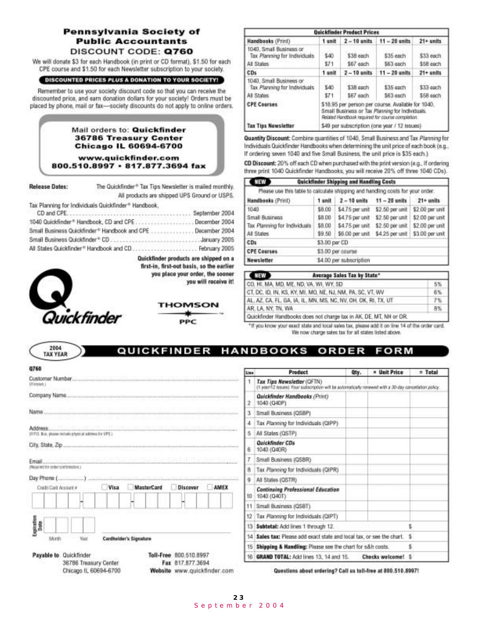#### Pennsylvania Society of **Public Accountants** DISCOUNT CODE: Q760

We will donate \$3 for each Handbook (in print or CD format), \$1.50 for each CPE course and \$1.50 for each Newsletter subscription to your society.

#### DISCOUNTED PRICES PLUS A DONATION TO YOUR SOCIETY!

Remember to use your society discount code so that you can receive the discounted price, and earn donation dollars for your society! Orders must be placed by phone, mail or fax-society discounts do not apply to online orders.

#### Mail orders to: Quickfinder **36786 Treasury Center Chicago IL 60694-6700**

www.quickfinder.com 800.510.8997 · 817.877.3694 fax

| Release Dates: | The Quickfinder® Tax Tips Newsletter is mailed monthly. |                                              |
|----------------|---------------------------------------------------------|----------------------------------------------|
|                |                                                         | All products are shipped UPS Ground or USPS. |
|                | Tax Planning for Individuals Quickfinder* Handbook.     |                                              |
| CD and CPE.    |                                                         | September 2004                               |
|                | 1040 Quickfinder® Handbook, CD and CPE.                 | December 2004                                |
|                | Small Rusinges Cuickfinder® Harebook and CDE            | December 2004                                |

| Small Business Quickfinder® Handbook and CPE December 2004        |  |
|-------------------------------------------------------------------|--|
|                                                                   |  |
| All States Quickfinder <sup>®</sup> Handbook and CD February 2005 |  |

Quickfinder products are shipped on a first-in, first-out basis, so the earlier you place your order, the sooner you will receive it!



2004

**TAX YEAR** 



**PPC** 

| Quickfinder Product Prices                                            |                                                                                                                                                           |                        |                               |                        |  |
|-----------------------------------------------------------------------|-----------------------------------------------------------------------------------------------------------------------------------------------------------|------------------------|-------------------------------|------------------------|--|
| Handbooks (Print)                                                     |                                                                                                                                                           |                        | 1 anit 2-10 anits 11-20 anits | $21 + units$           |  |
| 1040, Small Business or<br>Tax Planning for Individuals<br>All States | \$40<br>\$71                                                                                                                                              | \$38 each<br>\$67 each | \$35 each<br>\$63 gach        | \$33 each<br>\$58 each |  |
| CDs                                                                   | 1 unit                                                                                                                                                    | $2 - 10$ units         | $11 - 20$ units.              | $21 +$ units           |  |
| 1040, Small Business or<br>Tax Planning for Individuals<br>All States | \$40<br>\$71                                                                                                                                              | \$38 each<br>\$67 each | \$35 each<br>\$63 each        | \$33 each<br>\$58 each |  |
| <b>CPE Courses</b>                                                    | \$18.95 per person per course. Available for 1040.<br>Small Business or Tax Planning for Individuals.<br>Related Handbook required for course completion. |                        |                               |                        |  |
| <b>Tax Tips Newsletter</b>                                            | \$49 per subscription (one year / 12 issues)                                                                                                              |                        |                               |                        |  |

Quantity Discount: Combine quantities of 1040, Small Business and Tax Planning for Individuals Quickfinder Handbooks when determining the unit price of each book (e.g., If ordering seven 1040 and five Small Business, the unit price is \$35 each.)

CD Discount: 20% off each CD when purchased with the print version (e.g., if ordering three print 1040 Quickfinder Handbooks, you will receive 20% off three 1040 CDs).

| <b>CIRAD</b>                                                                   |                                         | Quickfinder Shipping and Handling Costs                |                                                 |  |  |  |
|--------------------------------------------------------------------------------|-----------------------------------------|--------------------------------------------------------|-------------------------------------------------|--|--|--|
| Please use this table to calculate shipping and handling costs for your order. |                                         |                                                        |                                                 |  |  |  |
| Handbooks (Print)                                                              | 1 unit 2-10 units 11-20 units 21+ units |                                                        |                                                 |  |  |  |
| 1040                                                                           | \$8.00                                  |                                                        | \$4.75 per unit \$2.50 per unit \$2.00 per unit |  |  |  |
| Small Business                                                                 | \$8.00                                  |                                                        | \$4.75 per unit \$2.50 per unit \$2.00 per unit |  |  |  |
| Tax Planning for Individuals                                                   |                                         | \$8.00 \$4.75 per unit \$2.50 per unit \$2.00 per unit |                                                 |  |  |  |
| All States                                                                     |                                         | \$9.50 \$6.00 per unit \$4.25 per unit \$3.00 per unit |                                                 |  |  |  |
| CDs                                                                            | \$3.00 per CD                           |                                                        |                                                 |  |  |  |
| <b>CPE Courses</b>                                                             | \$3.00 per course                       |                                                        |                                                 |  |  |  |
| Newsletter                                                                     |                                         | \$4.00 per subscription                                |                                                 |  |  |  |

| <b>CARD</b>        | Average Sales Tax by State*                                        |    |
|--------------------|--------------------------------------------------------------------|----|
|                    | CO, HI, MA, MD, ME, ND, VA, WI, WY, SD                             | 5% |
|                    | CT, DC, ID, IN, KS, KY, MI, MO, NE, NJ, NM, PA, SC, VT, WV         | 6% |
|                    | AL, AZ, CA, FL, GA, IA, IL, MN, MS, NC, NV, OH, OK, RI, TX, UT     | 7% |
| AR. LA. NY. TN, WA | 스타이즈 아이들은 아이들이 나는 아이들은 많은 사람들이 나왔다.                                | 8% |
|                    | Cuickfinder Handbooks does not charge tax in AK, DE, MT, NH or OR. |    |

\*If you know your exact state and local sales tax, please add it on line 14 of the order card. We now charge sales tax for all states listed above.

#### **HANDBOOKS** QUICKFINDER FORM ORDER

| (Histours.)                                                       |      |                         |          |      |
|-------------------------------------------------------------------|------|-------------------------|----------|------|
|                                                                   |      |                         |          |      |
| Name                                                              |      |                         |          |      |
| Address<br>(FIPI). Box, please include physical address for EPS.) |      |                         |          |      |
| City, State, Zip                                                  |      |                         |          |      |
| Email<br>Remain text four center contributed to a 1               |      |                         |          |      |
| Cradit Card Account #                                             | Visa | <b>MasterCard</b>       | Discover | AMEX |
|                                                                   |      |                         |          |      |
|                                                                   |      |                         |          |      |
|                                                                   |      |                         |          |      |
| Exploration<br>Month                                              |      | Cardholder's Signisture |          |      |

Chicago IL 60694-6700

| Jue i | Product                                                                                                                             | Qty. | <b>* Unit Price</b>          | $=$ Total |
|-------|-------------------------------------------------------------------------------------------------------------------------------------|------|------------------------------|-----------|
| 1     | Tax Tips Newsletter (OFTN)<br>(1 year/12 issues) Your subscription will be automatically renewed with a 30-day cancellation policy. |      |                              |           |
| 2.    | Quickfinder Handbooks (Print)<br>1040 (040F)                                                                                        |      |                              |           |
| з     | Small Business (OSBP)                                                                                                               |      |                              |           |
| 4     | Tax Planning for Individuals (QIPP)                                                                                                 |      |                              |           |
| 恋     | All States (OSTP)                                                                                                                   |      |                              |           |
| 6     | <b>Quickfinder CDs</b><br>1040 (Q40R)                                                                                               |      |                              |           |
| 7     | Small Business (QSBR)                                                                                                               |      |                              |           |
| 8     | Tax Planning for Individuals (QIPR)                                                                                                 |      |                              |           |
| 9     | All States (QSTR)                                                                                                                   |      |                              |           |
| 10    | Continuing Professional Education<br>1040 (Q40T)                                                                                    |      |                              |           |
|       | 11 Small Business (QSBT).                                                                                                           |      |                              |           |
|       | 12 Tax Planning for Individuals (QIPT)                                                                                              |      |                              |           |
|       | 13 Subtotal: Add lines 1 through 12.                                                                                                |      |                              |           |
|       | 14 Sales tax: Please add exact state and local tax, or see the chart.<br>s.                                                         |      |                              |           |
|       | s<br>15 Shipping & Handling: Please see the chart for s&h costs.                                                                    |      |                              |           |
|       | 16 GRAND TOTAL: Add lines 13, 14 and 15.                                                                                            |      | <b>Checks welcome!</b><br>一生 |           |

Questions about ordering? Call us toll-free at 800.510.8997!

Website www.quickfinder.com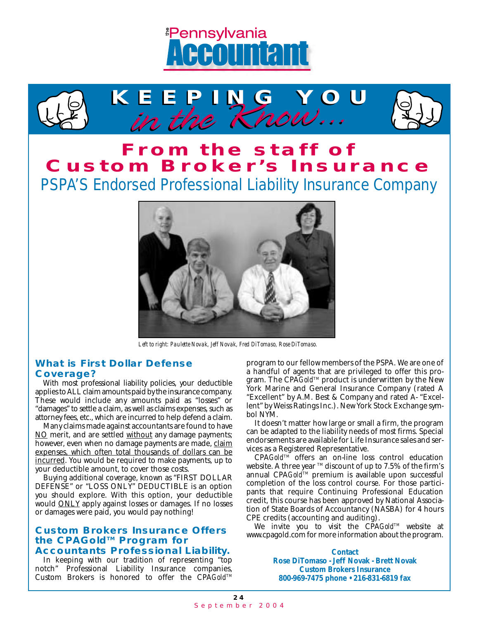



## **From the staff of Custom Broker's Insurance**

*PSPA'S Endorsed Professional Liability Insurance Company*



*Left to right: Paulette Novak, Jeff Novak, Fred DiTomaso, Rose DiTomaso.*

#### *What is First Dollar Defense Coverage?*

With most professional liability policies, your deductible applies to ALL claim amounts paid by the insurance company. These would include any amounts paid as "losses" or "damages" to settle a claim, as well as claims expenses, such as attorney fees, etc., which are incurred to help defend a claim.

Many claims made against accountants are found to have NO merit, and are settled without any damage payments; however, even when no damage payments are made, claim expenses, which often total thousands of dollars can be incurred. You would be required to make payments, up to your deductible amount, to cover those costs.

Buying additional coverage, known as "FIRST DOLLAR DEFENSE" or "LOSS ONLY" DEDUCTIBLE is an option you should explore. With this option, your deductible would ONLY apply against losses or damages. If no losses or damages were paid, you would pay nothing!

#### *Custom Brokers Insurance Offers the* **CPA***GoldTM Program for Accountants Professional Liability.*

In keeping with our tradition of representing "top notch" Professional Liability Insurance companies, Custom Brokers is honored to offer the CPA *Gold*™ program to our fellow members of the PSPA. We are one of a handful of agents that are privileged to offer this program. The CPA *Gold*™ product is underwritten by the New York Marine and General Insurance Company (rated A "Excellent" by A.M. Best & Company and rated A- "Excellent" by Weiss Ratings Inc.). New York Stock Exchange symbol NYM.

It doesn't matter how large or small a firm, the program can be adapted to the liability needs of most firms. Special endorsements are available for Life Insurance sales and services as a Registered Representative.

CPA Gold<sup>TM</sup> offers an on-line loss control education website. A three year  $TM$  discount of up to 7.5% of the firm's annual CPA*Gold*™ premium is available upon successful completion of the loss control course. For those participants that require Continuing Professional Education credit, this course has been approved by National Association of State Boards of Accountancy (NASBA) for 4 hours CPE credits (accounting and auditing).

We invite you to visit the CPA Gold<sup>IM</sup> website at www.cpagold.com for more information about the program.

> **Contact Rose DiTomaso - Jeff Novak - Brett Novak Custom Brokers Insurance 800-969-7475 phone • 216-831-6819 fax**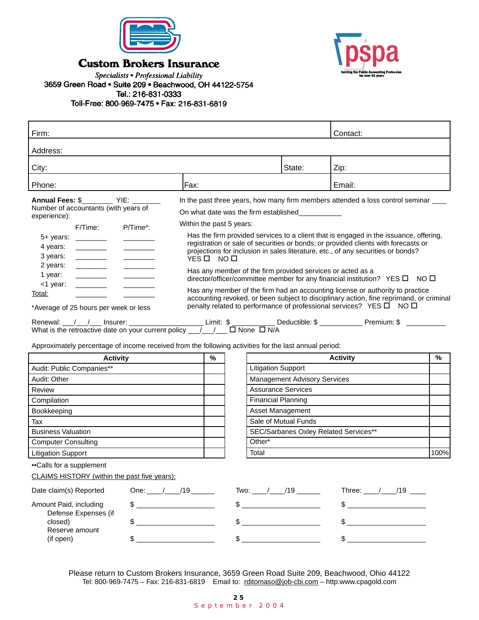

**Custom Brokers Insurance** 



Specialists • Professional Liability 3659 Green Road . Suite 209 . Beachwood, OH 44122-5754 Tel.: 216-831-0333 Toll-Free: 800-969-7475 · Fax: 216-831-6819

| Firm:                                                                                                                                                                                                                                                                                                                                                                                                                                                                                                     |                                                                               |                              |                                                                  | Contact:                                                                                                                                                                                                                                                                                                                                                                                                                                                                                                                                                                                                                                                                                                                                              |               |
|-----------------------------------------------------------------------------------------------------------------------------------------------------------------------------------------------------------------------------------------------------------------------------------------------------------------------------------------------------------------------------------------------------------------------------------------------------------------------------------------------------------|-------------------------------------------------------------------------------|------------------------------|------------------------------------------------------------------|-------------------------------------------------------------------------------------------------------------------------------------------------------------------------------------------------------------------------------------------------------------------------------------------------------------------------------------------------------------------------------------------------------------------------------------------------------------------------------------------------------------------------------------------------------------------------------------------------------------------------------------------------------------------------------------------------------------------------------------------------------|---------------|
| Address:                                                                                                                                                                                                                                                                                                                                                                                                                                                                                                  |                                                                               |                              |                                                                  |                                                                                                                                                                                                                                                                                                                                                                                                                                                                                                                                                                                                                                                                                                                                                       |               |
|                                                                                                                                                                                                                                                                                                                                                                                                                                                                                                           |                                                                               |                              |                                                                  |                                                                                                                                                                                                                                                                                                                                                                                                                                                                                                                                                                                                                                                                                                                                                       |               |
| City:                                                                                                                                                                                                                                                                                                                                                                                                                                                                                                     |                                                                               |                              | State:                                                           | Zip:                                                                                                                                                                                                                                                                                                                                                                                                                                                                                                                                                                                                                                                                                                                                                  |               |
| Phone:                                                                                                                                                                                                                                                                                                                                                                                                                                                                                                    | Fax:                                                                          |                              |                                                                  | Email:                                                                                                                                                                                                                                                                                                                                                                                                                                                                                                                                                                                                                                                                                                                                                |               |
| Annual Fees: \$____________ YIE: ________<br>Number of accountants (with years of<br>experience):<br>P/Time*:<br>F/Time:<br>$5+$ years: _________<br>4 years:<br>3 years:<br>2 years:<br><u> 1989 - John Barnett, f</u><br>1 year:<br><1 year:<br><u> Louis Communication</u><br>Total:<br>*Average of 25 hours per week or less<br>Renewal: $\frac{1}{2}$ Insurer: Limit: $\frac{1}{2}$ Limit: $\frac{1}{2}$ Deductible: $\frac{1}{2}$ Premium: $\frac{1}{2}$ Denewal: Premium: $\frac{1}{2}$ Dene D N/A | On what date was the firm established<br>Within the past 5 years:<br>YES□ NO□ |                              |                                                                  | In the past three years, how many firm members attended a loss control seminar ___<br>Has the firm provided services to a client that is engaged in the issuance, offering,<br>registration or sale of securities or bonds; or provided clients with forecasts or<br>projections for inclusion in sales literature, etc., of any securities or bonds?<br>Has any member of the firm provided services or acted as a<br>director/officer/committee member for any financial institution? YES □ NO □<br>Has any member of the firm had an accounting license or authority to practice<br>accounting revoked, or been subject to disciplinary action, fine reprimand, or criminal<br>penalty related to performance of professional services? YES O NO O |               |
| Approximately percentage of income received from the following activities for the last annual period:                                                                                                                                                                                                                                                                                                                                                                                                     |                                                                               |                              |                                                                  |                                                                                                                                                                                                                                                                                                                                                                                                                                                                                                                                                                                                                                                                                                                                                       |               |
| <b>Activity</b>                                                                                                                                                                                                                                                                                                                                                                                                                                                                                           | $\%$                                                                          |                              |                                                                  | <b>Activity</b>                                                                                                                                                                                                                                                                                                                                                                                                                                                                                                                                                                                                                                                                                                                                       | $\frac{9}{6}$ |
| Audit: Public Companies**                                                                                                                                                                                                                                                                                                                                                                                                                                                                                 |                                                                               |                              | <b>Litigation Support</b><br><b>Management Advisory Services</b> |                                                                                                                                                                                                                                                                                                                                                                                                                                                                                                                                                                                                                                                                                                                                                       |               |
| Audit: Other                                                                                                                                                                                                                                                                                                                                                                                                                                                                                              |                                                                               |                              |                                                                  |                                                                                                                                                                                                                                                                                                                                                                                                                                                                                                                                                                                                                                                                                                                                                       |               |
| Review<br>Compilation                                                                                                                                                                                                                                                                                                                                                                                                                                                                                     |                                                                               | <b>Financial Planning</b>    | <b>Assurance Services</b>                                        |                                                                                                                                                                                                                                                                                                                                                                                                                                                                                                                                                                                                                                                                                                                                                       |               |
| Bookkeeping                                                                                                                                                                                                                                                                                                                                                                                                                                                                                               |                                                                               | Asset Management             |                                                                  |                                                                                                                                                                                                                                                                                                                                                                                                                                                                                                                                                                                                                                                                                                                                                       |               |
| Tax                                                                                                                                                                                                                                                                                                                                                                                                                                                                                                       |                                                                               |                              |                                                                  |                                                                                                                                                                                                                                                                                                                                                                                                                                                                                                                                                                                                                                                                                                                                                       |               |
| <b>Business Valuation</b>                                                                                                                                                                                                                                                                                                                                                                                                                                                                                 |                                                                               |                              | Sale of Mutual Funds<br>SEC/Sarbanes Oxley Related Services**    |                                                                                                                                                                                                                                                                                                                                                                                                                                                                                                                                                                                                                                                                                                                                                       |               |
| <b>Computer Consulting</b>                                                                                                                                                                                                                                                                                                                                                                                                                                                                                |                                                                               | Other*                       |                                                                  |                                                                                                                                                                                                                                                                                                                                                                                                                                                                                                                                                                                                                                                                                                                                                       |               |
| <b>Litigation Support</b>                                                                                                                                                                                                                                                                                                                                                                                                                                                                                 |                                                                               | Total                        |                                                                  |                                                                                                                                                                                                                                                                                                                                                                                                                                                                                                                                                                                                                                                                                                                                                       | 100%          |
| •• Calls for a supplement<br>CLAIMS HISTORY (within the past five years):                                                                                                                                                                                                                                                                                                                                                                                                                                 |                                                                               |                              |                                                                  |                                                                                                                                                                                                                                                                                                                                                                                                                                                                                                                                                                                                                                                                                                                                                       |               |
| Date claim(s) Reported                                                                                                                                                                                                                                                                                                                                                                                                                                                                                    | One: $/2$ /19                                                                 | Two: _____/_____/19 ________ |                                                                  | Three: $\frac{1}{2}$ /19 ___                                                                                                                                                                                                                                                                                                                                                                                                                                                                                                                                                                                                                                                                                                                          |               |
| Amount Paid, including<br>$\mathsf S$ .                                                                                                                                                                                                                                                                                                                                                                                                                                                                   |                                                                               | $\qquad \qquad \$$           |                                                                  | $\frac{1}{2}$                                                                                                                                                                                                                                                                                                                                                                                                                                                                                                                                                                                                                                                                                                                                         |               |

| Defense Expenses (if        |  |  |
|-----------------------------|--|--|
| closed)                     |  |  |
| Reserve amount<br>(if open) |  |  |
|                             |  |  |

Please return to Custom Brokers Insurance, 3659 Green Road Suite 209, Beachwood, Ohio 44122 Tel: 800-969-7475 – Fax: 216-831-6819 Email to: rditomaso@job-cbi.com – http:www.cpagold.com